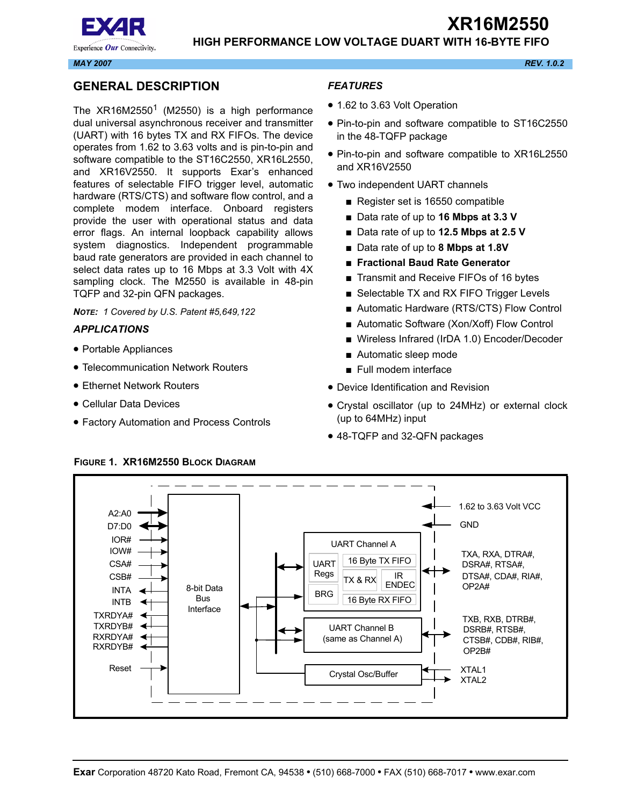

Experience Our Connectivity.

#### *MAY 2007 REV. 1.0.2*

# <span id="page-0-0"></span>**GENERAL DESCRIPTION**

The  $XR16M2550<sup>1</sup>$  (M2550) is a high performance dual universal asynchronous receiver and transmitter (UART) with 16 bytes TX and RX FIFOs. The device operates from 1.62 to 3.63 volts and is pin-to-pin and software compatible to the ST16C2550, XR16L2550, and XR16V2550. It supports Exar's enhanced features of selectable FIFO trigger level, automatic hardware (RTS/CTS) and software flow control, and a complete modem interface. Onboard registers provide the user with operational status and data error flags. An internal loopback capability allows system diagnostics. Independent programmable baud rate generators are provided in each channel to select data rates up to 16 Mbps at 3.3 Volt with 4X sampling clock. The M2550 is available in 48-pin TQFP and 32-pin QFN packages.

*NOTE: 1 Covered by U.S. Patent #5,649,122*

#### <span id="page-0-1"></span>*APPLICATIONS*

- Portable Appliances
- Telecommunication Network Routers
- Ethernet Network Routers
- Cellular Data Devices
- Factory Automation and Process Controls

#### <span id="page-0-2"></span>*FEATURES*

- 1.62 to 3.63 Volt Operation
- Pin-to-pin and software compatible to ST16C2550 in the 48-TQFP package
- Pin-to-pin and software compatible to XR16L2550 and XR16V2550
- Two independent UART channels
	- Register set is 16550 compatible
	- Data rate of up to **16 Mbps at 3.3 V**
	- Data rate of up to **12.5 Mbps at 2.5 V**
	- Data rate of up to **8 Mbps at 1.8V**
	- **Fractional Baud Rate Generator**
	- Transmit and Receive FIFOs of 16 bytes
	- Selectable TX and RX FIFO Trigger Levels
	- Automatic Hardware (RTS/CTS) Flow Control
	- Automatic Software (Xon/Xoff) Flow Control
	- Wireless Infrared (IrDA 1.0) Encoder/Decoder
	- Automatic sleep mode
	- Full modem interface
- Device Identification and Revision
- Crystal oscillator (up to 24MHz) or external clock (up to 64MHz) input
- 48-TQFP and 32-QFN packages



#### <span id="page-0-3"></span>**FIGURE 1. XR16M2550 BLOCK DIAGRAM**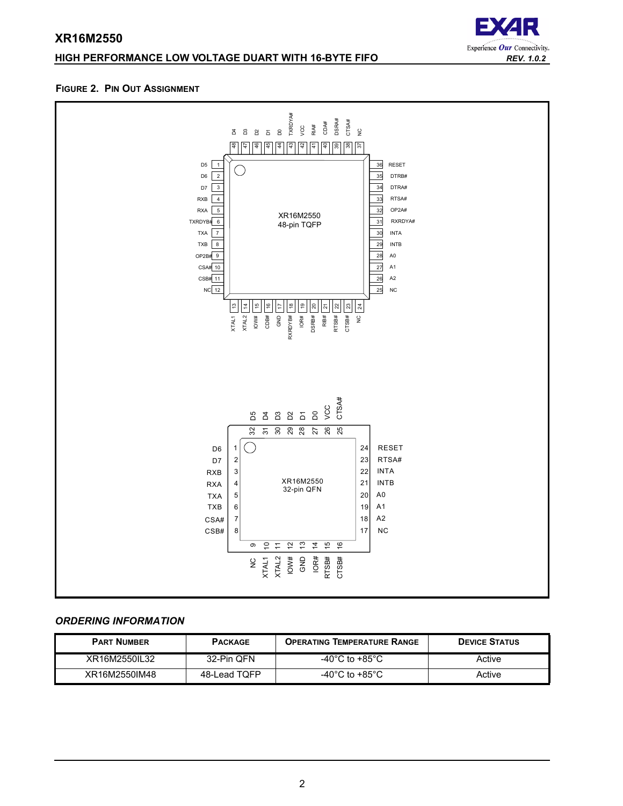# **HIGH PERFORMANCE LOW VOLTAGE DUART WITH 16-BYTE FIFO** *REV. 1.0.2*



#### <span id="page-1-0"></span>**FIGURE 2. PIN OUT ASSIGNMENT**



# <span id="page-1-1"></span>*ORDERING INFORMATION*

| <b>PART NUMBER</b> | <b>PACKAGE</b> | <b>OPERATING TEMPERATURE RANGE</b>   | <b>DEVICE STATUS</b> |
|--------------------|----------------|--------------------------------------|----------------------|
| XR16M2550IL32      | 32-Pin QFN     | -40°C to +85°C                       | Active               |
| XR16M2550IM48      | 48-Lead TQFP   | -40 $^{\circ}$ C to +85 $^{\circ}$ C | Active               |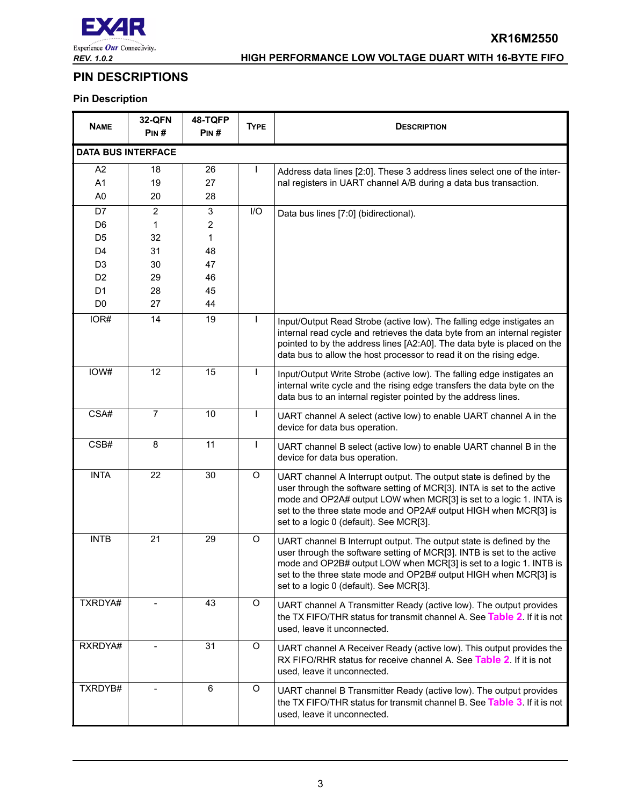

**XR16M2550**

# <span id="page-2-0"></span>**PIN DESCRIPTIONS**

# **Pin Description**

| <b>NAME</b>    | <b>32-QFN</b><br>PIN#     | 48-TQFP<br>PIN# | <b>TYPE</b>  | <b>DESCRIPTION</b>                                                                                                                                                                                                                                                                                                                 |  |  |
|----------------|---------------------------|-----------------|--------------|------------------------------------------------------------------------------------------------------------------------------------------------------------------------------------------------------------------------------------------------------------------------------------------------------------------------------------|--|--|
|                | <b>DATA BUS INTERFACE</b> |                 |              |                                                                                                                                                                                                                                                                                                                                    |  |  |
| A <sub>2</sub> | 18                        | 26              |              | Address data lines [2:0]. These 3 address lines select one of the inter-                                                                                                                                                                                                                                                           |  |  |
| A <sub>1</sub> | 19                        | 27              |              | nal registers in UART channel A/B during a data bus transaction.                                                                                                                                                                                                                                                                   |  |  |
| A <sub>0</sub> | 20                        | 28              |              |                                                                                                                                                                                                                                                                                                                                    |  |  |
| D7             | $\overline{2}$            | 3               | I/O          | Data bus lines [7:0] (bidirectional).                                                                                                                                                                                                                                                                                              |  |  |
| D <sub>6</sub> | 1                         | $\overline{c}$  |              |                                                                                                                                                                                                                                                                                                                                    |  |  |
| D <sub>5</sub> | 32                        | 1               |              |                                                                                                                                                                                                                                                                                                                                    |  |  |
| D <sub>4</sub> | 31                        | 48              |              |                                                                                                                                                                                                                                                                                                                                    |  |  |
| D <sub>3</sub> | 30                        | 47              |              |                                                                                                                                                                                                                                                                                                                                    |  |  |
| D <sub>2</sub> | 29                        | 46              |              |                                                                                                                                                                                                                                                                                                                                    |  |  |
| D <sub>1</sub> | 28                        | 45              |              |                                                                                                                                                                                                                                                                                                                                    |  |  |
| D <sub>0</sub> | 27                        | 44              |              |                                                                                                                                                                                                                                                                                                                                    |  |  |
| IOR#           | 14                        | 19              | T            | Input/Output Read Strobe (active low). The falling edge instigates an<br>internal read cycle and retrieves the data byte from an internal register<br>pointed to by the address lines [A2:A0]. The data byte is placed on the<br>data bus to allow the host processor to read it on the rising edge.                               |  |  |
| IOW#           | 12                        | 15              | $\mathbf{I}$ | Input/Output Write Strobe (active low). The falling edge instigates an<br>internal write cycle and the rising edge transfers the data byte on the<br>data bus to an internal register pointed by the address lines.                                                                                                                |  |  |
| CSA#           | $\overline{7}$            | 10              |              | UART channel A select (active low) to enable UART channel A in the<br>device for data bus operation.                                                                                                                                                                                                                               |  |  |
| CSB#           | 8                         | 11              | J.           | UART channel B select (active low) to enable UART channel B in the<br>device for data bus operation.                                                                                                                                                                                                                               |  |  |
| <b>INTA</b>    | 22                        | 30              | O            | UART channel A Interrupt output. The output state is defined by the<br>user through the software setting of MCR[3]. INTA is set to the active<br>mode and OP2A# output LOW when MCR[3] is set to a logic 1. INTA is<br>set to the three state mode and OP2A# output HIGH when MCR[3] is<br>set to a logic 0 (default). See MCR[3]. |  |  |
| <b>INTB</b>    | 21                        | 29              | O            | UART channel B Interrupt output. The output state is defined by the<br>user through the software setting of MCR[3]. INTB is set to the active<br>mode and OP2B# output LOW when MCR[3] is set to a logic 1. INTB is<br>set to the three state mode and OP2B# output HIGH when MCR[3] is<br>set to a logic 0 (default). See MCR[3]. |  |  |
| TXRDYA#        |                           | 43              | O            | UART channel A Transmitter Ready (active low). The output provides<br>the TX FIFO/THR status for transmit channel A. See Table 2. If it is not<br>used, leave it unconnected.                                                                                                                                                      |  |  |
| RXRDYA#        |                           | 31              | O            | UART channel A Receiver Ready (active low). This output provides the<br>RX FIFO/RHR status for receive channel A. See Table 2. If it is not<br>used, leave it unconnected.                                                                                                                                                         |  |  |
| TXRDYB#        |                           | 6               | O            | UART channel B Transmitter Ready (active low). The output provides<br>the TX FIFO/THR status for transmit channel B. See Table 3. If it is not<br>used, leave it unconnected.                                                                                                                                                      |  |  |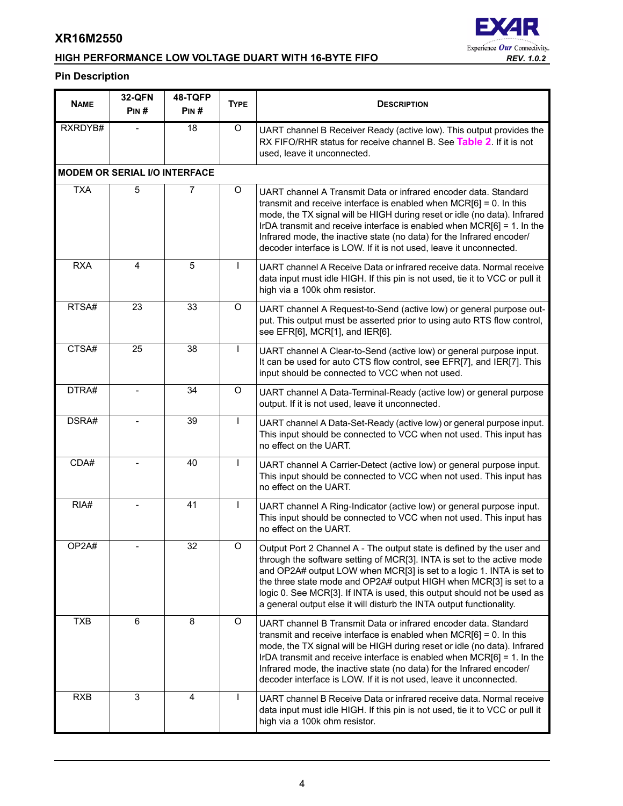# **HIGH PERFORMANCE LOW VOLTAGE DUART WITH 16-BYTE FIFO** *REV. 1.0.2*

# **EXAR** Experience Our Connectivity.

# **Pin Description**

| <b>NAME</b> | <b>32-QFN</b><br>PIN#                | 48-TQFP<br>PIN# | <b>TYPE</b>  | <b>DESCRIPTION</b>                                                                                                                                                                                                                                                                                                                                                                                                                                |  |
|-------------|--------------------------------------|-----------------|--------------|---------------------------------------------------------------------------------------------------------------------------------------------------------------------------------------------------------------------------------------------------------------------------------------------------------------------------------------------------------------------------------------------------------------------------------------------------|--|
| RXRDYB#     |                                      | 18              | O            | UART channel B Receiver Ready (active low). This output provides the<br>RX FIFO/RHR status for receive channel B. See Table 2. If it is not<br>used, leave it unconnected.                                                                                                                                                                                                                                                                        |  |
|             | <b>MODEM OR SERIAL I/O INTERFACE</b> |                 |              |                                                                                                                                                                                                                                                                                                                                                                                                                                                   |  |
| <b>TXA</b>  | 5                                    | 7               | O            | UART channel A Transmit Data or infrared encoder data. Standard<br>transmit and receive interface is enabled when $MCR[6] = 0$ . In this<br>mode, the TX signal will be HIGH during reset or idle (no data). Infrared<br>IrDA transmit and receive interface is enabled when MCR[6] = 1. In the<br>Infrared mode, the inactive state (no data) for the Infrared encoder/<br>decoder interface is LOW. If it is not used, leave it unconnected.    |  |
| <b>RXA</b>  | 4                                    | 5               | I.           | UART channel A Receive Data or infrared receive data. Normal receive<br>data input must idle HIGH. If this pin is not used, tie it to VCC or pull it<br>high via a 100k ohm resistor.                                                                                                                                                                                                                                                             |  |
| RTSA#       | 23                                   | 33              | O            | UART channel A Request-to-Send (active low) or general purpose out-<br>put. This output must be asserted prior to using auto RTS flow control,<br>see EFR[6], MCR[1], and IER[6].                                                                                                                                                                                                                                                                 |  |
| CTSA#       | 25                                   | 38              | L            | UART channel A Clear-to-Send (active low) or general purpose input.<br>It can be used for auto CTS flow control, see EFR[7], and IER[7]. This<br>input should be connected to VCC when not used.                                                                                                                                                                                                                                                  |  |
| DTRA#       |                                      | 34              | $\circ$      | UART channel A Data-Terminal-Ready (active low) or general purpose<br>output. If it is not used, leave it unconnected.                                                                                                                                                                                                                                                                                                                            |  |
| DSRA#       |                                      | 39              | $\mathbf{I}$ | UART channel A Data-Set-Ready (active low) or general purpose input.<br>This input should be connected to VCC when not used. This input has<br>no effect on the UART.                                                                                                                                                                                                                                                                             |  |
| CDA#        |                                      | 40              | ı            | UART channel A Carrier-Detect (active low) or general purpose input.<br>This input should be connected to VCC when not used. This input has<br>no effect on the UART.                                                                                                                                                                                                                                                                             |  |
| RIA#        |                                      | 41              | J.           | UART channel A Ring-Indicator (active low) or general purpose input.<br>This input should be connected to VCC when not used. This input has<br>no effect on the UART.                                                                                                                                                                                                                                                                             |  |
| OP2A#       |                                      | 32              | O            | Output Port 2 Channel A - The output state is defined by the user and<br>through the software setting of MCR[3]. INTA is set to the active mode<br>and OP2A# output LOW when MCR[3] is set to a logic 1. INTA is set to<br>the three state mode and OP2A# output HIGH when MCR[3] is set to a<br>logic 0. See MCR[3]. If INTA is used, this output should not be used as<br>a general output else it will disturb the INTA output functionality.  |  |
| <b>TXB</b>  | 6                                    | 8               | O            | UART channel B Transmit Data or infrared encoder data. Standard<br>transmit and receive interface is enabled when $MCR[6] = 0$ . In this<br>mode, the TX signal will be HIGH during reset or idle (no data). Infrared<br>IrDA transmit and receive interface is enabled when $MCR[6] = 1$ . In the<br>Infrared mode, the inactive state (no data) for the Infrared encoder/<br>decoder interface is LOW. If it is not used, leave it unconnected. |  |
| <b>RXB</b>  | 3                                    | 4               |              | UART channel B Receive Data or infrared receive data. Normal receive<br>data input must idle HIGH. If this pin is not used, tie it to VCC or pull it<br>high via a 100k ohm resistor.                                                                                                                                                                                                                                                             |  |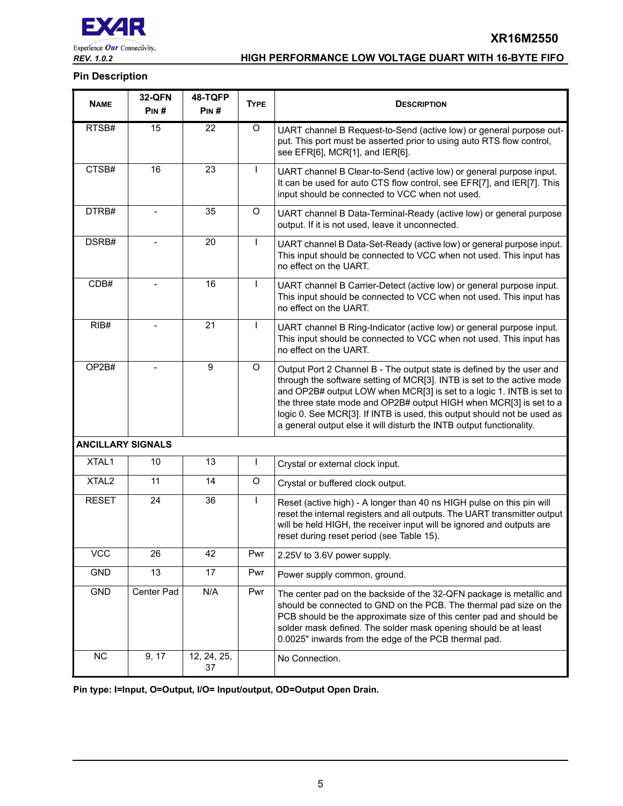

**XR16M2550**

# **Pin Description**

| <b>NAME</b>              | <b>32-QFN</b><br>PIN# | 48-TQFP<br>PIN#   | <b>TYPE</b>  | <b>DESCRIPTION</b>                                                                                                                                                                                                                                                                                                                                                                                                                               |  |
|--------------------------|-----------------------|-------------------|--------------|--------------------------------------------------------------------------------------------------------------------------------------------------------------------------------------------------------------------------------------------------------------------------------------------------------------------------------------------------------------------------------------------------------------------------------------------------|--|
| RTSB#                    | 15                    | 22                | O            | UART channel B Request-to-Send (active low) or general purpose out-<br>put. This port must be asserted prior to using auto RTS flow control,<br>see EFR[6], MCR[1], and IER[6].                                                                                                                                                                                                                                                                  |  |
| CTSB#                    | 16                    | 23                | T            | UART channel B Clear-to-Send (active low) or general purpose input.<br>It can be used for auto CTS flow control, see EFR[7], and IER[7]. This<br>input should be connected to VCC when not used.                                                                                                                                                                                                                                                 |  |
| DTRB#                    |                       | 35                | O            | UART channel B Data-Terminal-Ready (active low) or general purpose<br>output. If it is not used, leave it unconnected.                                                                                                                                                                                                                                                                                                                           |  |
| DSRB#                    |                       | 20                | $\mathbf{I}$ | UART channel B Data-Set-Ready (active low) or general purpose input.<br>This input should be connected to VCC when not used. This input has<br>no effect on the UART.                                                                                                                                                                                                                                                                            |  |
| CDB#                     |                       | 16                | T            | UART channel B Carrier-Detect (active low) or general purpose input.<br>This input should be connected to VCC when not used. This input has<br>no effect on the UART.                                                                                                                                                                                                                                                                            |  |
| RIB#                     |                       | 21                | T            | UART channel B Ring-Indicator (active low) or general purpose input.<br>This input should be connected to VCC when not used. This input has<br>no effect on the UART.                                                                                                                                                                                                                                                                            |  |
| OP2B#                    |                       | 9                 | O            | Output Port 2 Channel B - The output state is defined by the user and<br>through the software setting of MCR[3]. INTB is set to the active mode<br>and OP2B# output LOW when MCR[3] is set to a logic 1. INTB is set to<br>the three state mode and OP2B# output HIGH when MCR[3] is set to a<br>logic 0. See MCR[3]. If INTB is used, this output should not be used as<br>a general output else it will disturb the INTB output functionality. |  |
| <b>ANCILLARY SIGNALS</b> |                       |                   |              |                                                                                                                                                                                                                                                                                                                                                                                                                                                  |  |
| XTAL1                    | 10                    | 13                | T            | Crystal or external clock input.                                                                                                                                                                                                                                                                                                                                                                                                                 |  |
| XTAL <sub>2</sub>        | 11                    | 14                | O            | Crystal or buffered clock output.                                                                                                                                                                                                                                                                                                                                                                                                                |  |
| <b>RESET</b>             | 24                    | 36                | T            | Reset (active high) - A longer than 40 ns HIGH pulse on this pin will<br>reset the internal registers and all outputs. The UART transmitter output<br>will be held HIGH, the receiver input will be ignored and outputs are<br>reset during reset period (see Table 15).                                                                                                                                                                         |  |
| <b>VCC</b>               | 26                    | 42                | Pwr          | 2.25V to 3.6V power supply.                                                                                                                                                                                                                                                                                                                                                                                                                      |  |
| <b>GND</b>               | 13                    | 17                | Pwr          | Power supply common, ground.                                                                                                                                                                                                                                                                                                                                                                                                                     |  |
| GND                      | Center Pad            | N/A               | Pwr          | The center pad on the backside of the 32-QFN package is metallic and<br>should be connected to GND on the PCB. The thermal pad size on the<br>PCB should be the approximate size of this center pad and should be<br>solder mask defined. The solder mask opening should be at least<br>0.0025" inwards from the edge of the PCB thermal pad.                                                                                                    |  |
| <b>NC</b>                | 9, 17                 | 12, 24, 25,<br>37 |              | No Connection.                                                                                                                                                                                                                                                                                                                                                                                                                                   |  |

**Pin type: I=Input, O=Output, I/O= Input/output, OD=Output Open Drain.**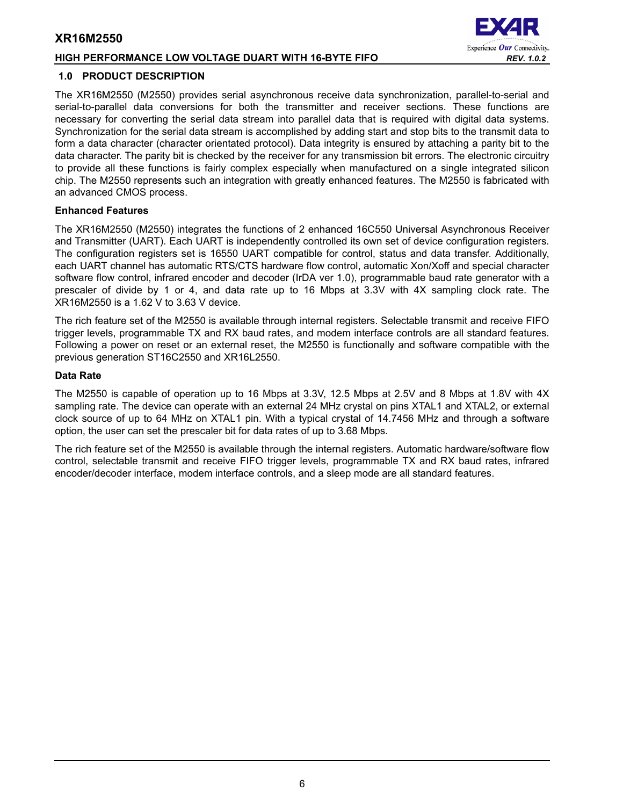# **HIGH PERFORMANCE LOW VOLTAGE DUART WITH 16-BYTE FIFO** *REV. 1.0.2*

#### <span id="page-5-0"></span>**1.0 PRODUCT DESCRIPTION**

The XR16M2550 (M2550) provides serial asynchronous receive data synchronization, parallel-to-serial and serial-to-parallel data conversions for both the transmitter and receiver sections. These functions are necessary for converting the serial data stream into parallel data that is required with digital data systems. Synchronization for the serial data stream is accomplished by adding start and stop bits to the transmit data to form a data character (character orientated protocol). Data integrity is ensured by attaching a parity bit to the data character. The parity bit is checked by the receiver for any transmission bit errors. The electronic circuitry to provide all these functions is fairly complex especially when manufactured on a single integrated silicon chip. The M2550 represents such an integration with greatly enhanced features. The M2550 is fabricated with an advanced CMOS process.

#### **Enhanced Features**

The XR16M2550 (M2550) integrates the functions of 2 enhanced 16C550 Universal Asynchronous Receiver and Transmitter (UART). Each UART is independently controlled its own set of device configuration registers. The configuration registers set is 16550 UART compatible for control, status and data transfer. Additionally, each UART channel has automatic RTS/CTS hardware flow control, automatic Xon/Xoff and special character software flow control, infrared encoder and decoder (IrDA ver 1.0), programmable baud rate generator with a prescaler of divide by 1 or 4, and data rate up to 16 Mbps at 3.3V with 4X sampling clock rate. The XR16M2550 is a 1.62 V to 3.63 V device.

The rich feature set of the M2550 is available through internal registers. Selectable transmit and receive FIFO trigger levels, programmable TX and RX baud rates, and modem interface controls are all standard features. Following a power on reset or an external reset, the M2550 is functionally and software compatible with the previous generation ST16C2550 and XR16L2550.

#### **Data Rate**

The M2550 is capable of operation up to 16 Mbps at 3.3V, 12.5 Mbps at 2.5V and 8 Mbps at 1.8V with 4X sampling rate. The device can operate with an external 24 MHz crystal on pins XTAL1 and XTAL2, or external clock source of up to 64 MHz on XTAL1 pin. With a typical crystal of 14.7456 MHz and through a software option, the user can set the prescaler bit for data rates of up to 3.68 Mbps.

The rich feature set of the M2550 is available through the internal registers. Automatic hardware/software flow control, selectable transmit and receive FIFO trigger levels, programmable TX and RX baud rates, infrared encoder/decoder interface, modem interface controls, and a sleep mode are all standard features.

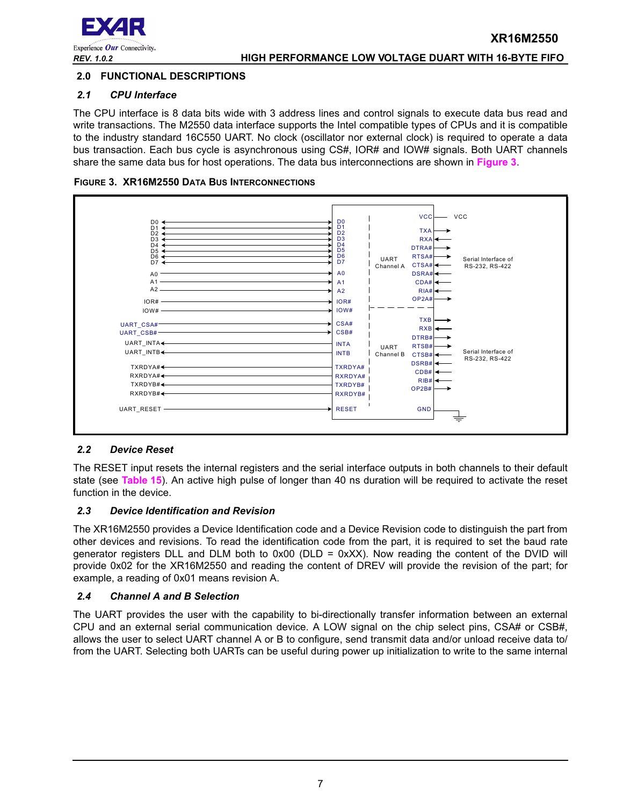

# <span id="page-6-1"></span>**2.0 FUNCTIONAL DESCRIPTIONS**

#### <span id="page-6-2"></span>*2.1 CPU Interface*

The CPU interface is 8 data bits wide with 3 address lines and control signals to execute data bus read and write transactions. The M2550 data interface supports the Intel compatible types of CPUs and it is compatible to the industry standard 16C550 UART. No clock (oscillator nor external clock) is required to operate a data bus transaction. Each bus cycle is asynchronous using CS#, IOR# and IOW# signals. Both UART channels share the same data bus for host operations. The data bus interconnections are shown in **[Figure](#page-6-0) 3**.

<span id="page-6-0"></span>



# <span id="page-6-3"></span>*2.2 Device Reset*

The RESET input resets the internal registers and the serial interface outputs in both channels to their default state (see **[Table](#page-34-0) 15**). An active high pulse of longer than 40 ns duration will be required to activate the reset function in the device.

#### <span id="page-6-4"></span>*2.3 Device Identification and Revision*

The XR16M2550 provides a Device Identification code and a Device Revision code to distinguish the part from other devices and revisions. To read the identification code from the part, it is required to set the baud rate generator registers DLL and DLM both to  $0x00$  (DLD =  $0xXX$ ). Now reading the content of the DVID will provide 0x02 for the XR16M2550 and reading the content of DREV will provide the revision of the part; for example, a reading of 0x01 means revision A.

#### <span id="page-6-5"></span>*2.4 Channel A and B Selection*

The UART provides the user with the capability to bi-directionally transfer information between an external CPU and an external serial communication device. A LOW signal on the chip select pins, CSA# or CSB#, allows the user to select UART channel A or B to configure, send transmit data and/or unload receive data to/ from the UART. Selecting both UARTs can be useful during power up initialization to write to the same internal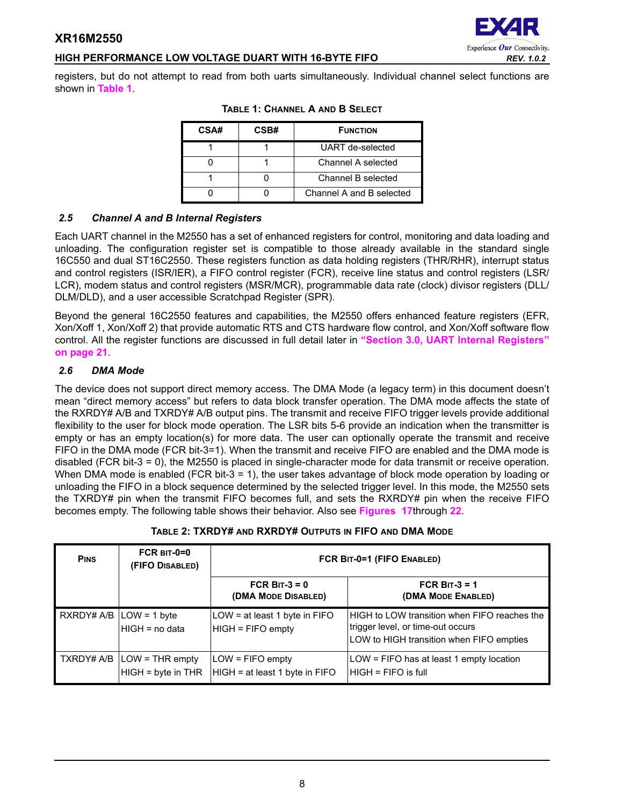# **HIGH PERFORMANCE LOW VOLTAGE DUART WITH 16-BYTE FIFO** *REV. 1.0.2*

<span id="page-7-1"></span>registers, but do not attempt to read from both uarts simultaneously. Individual channel select functions are shown in **[Table](#page-7-1) 1**.

| CSA# | CSB# | <b>FUNCTION</b>          |
|------|------|--------------------------|
|      |      | UART de-selected         |
|      |      | Channel A selected       |
|      |      | Channel B selected       |
|      |      | Channel A and B selected |

#### **TABLE 1: CHANNEL A AND B SELECT**

# <span id="page-7-2"></span>*2.5 Channel A and B Internal Registers*

Each UART channel in the M2550 has a set of enhanced registers for control, monitoring and data loading and unloading. The configuration register set is compatible to those already available in the standard single 16C550 and dual ST16C2550. These registers function as data holding registers (THR/RHR), interrupt status and control registers (ISR/IER), a FIFO control register (FCR), receive line status and control registers (LSR/ LCR), modem status and control registers (MSR/MCR), programmable data rate (clock) divisor registers (DLL/ DLM/DLD), and a user accessible Scratchpad Register (SPR).

Beyond the general 16C2550 features and capabilities, the M2550 offers enhanced feature registers (EFR, Xon/Xoff 1, Xon/Xoff 2) that provide automatic RTS and CTS hardware flow control, and Xon/Xoff software flow control. All the register functions are discussed in full detail later in **["Section 3.0, UART Internal Registers"](#page-20-0)  [on page](#page-20-0) 21**.

# <span id="page-7-3"></span>*2.6 DMA Mode*

The device does not support direct memory access. The DMA Mode (a legacy term) in this document doesn't mean "direct memory access" but refers to data block transfer operation. The DMA mode affects the state of the RXRDY# A/B and TXRDY# A/B output pins. The transmit and receive FIFO trigger levels provide additional flexibility to the user for block mode operation. The LSR bits 5-6 provide an indication when the transmitter is empty or has an empty location(s) for more data. The user can optionally operate the transmit and receive FIFO in the DMA mode (FCR bit-3=1). When the transmit and receive FIFO are enabled and the DMA mode is disabled (FCR bit-3 = 0), the M2550 is placed in single-character mode for data transmit or receive operation. When DMA mode is enabled (FCR bit-3 = 1), the user takes advantage of block mode operation by loading or unloading the FIFO in a block sequence determined by the selected trigger level. In this mode, the M2550 sets the TXRDY# pin when the transmit FIFO becomes full, and sets the RXRDY# pin when the receive FIFO becomes empty. The following table shows their behavior. Also see **[Figures 17](#page-39-0)**through **[22](#page-41-0)**.

<span id="page-7-0"></span>

| <b>PINS</b> | $FCR$ BIT-0=0<br>(FIFO DISABLED)                     | FCR BIT-0=1 (FIFO ENABLED)                           |                                                                                                                               |  |  |
|-------------|------------------------------------------------------|------------------------------------------------------|-------------------------------------------------------------------------------------------------------------------------------|--|--|
|             |                                                      | FCR BIT-3 = $0$<br>(DMA MODE DISABLED)               | FCR BIT-3 = $1$<br>(DMA MODE ENABLED)                                                                                         |  |  |
|             | $RXRDY# A/B$ $LOW = 1$ byte<br>HIGH = no data        | LOW = at least 1 byte in FIFO<br>HIGH = FIFO empty   | HIGH to LOW transition when FIFO reaches the<br>trigger level, or time-out occurs<br>LOW to HIGH transition when FIFO empties |  |  |
|             | TXRDY# A/B   LOW = THR empty<br>$HIGH = byte in THR$ | $LOW = FIFO$ empty<br>HIGH = at least 1 byte in FIFO | LOW = FIFO has at least 1 empty location<br>$HIGH = FIFO$ is full                                                             |  |  |

# **TABLE 2: TXRDY# AND RXRDY# OUTPUTS IN FIFO AND DMA MODE**

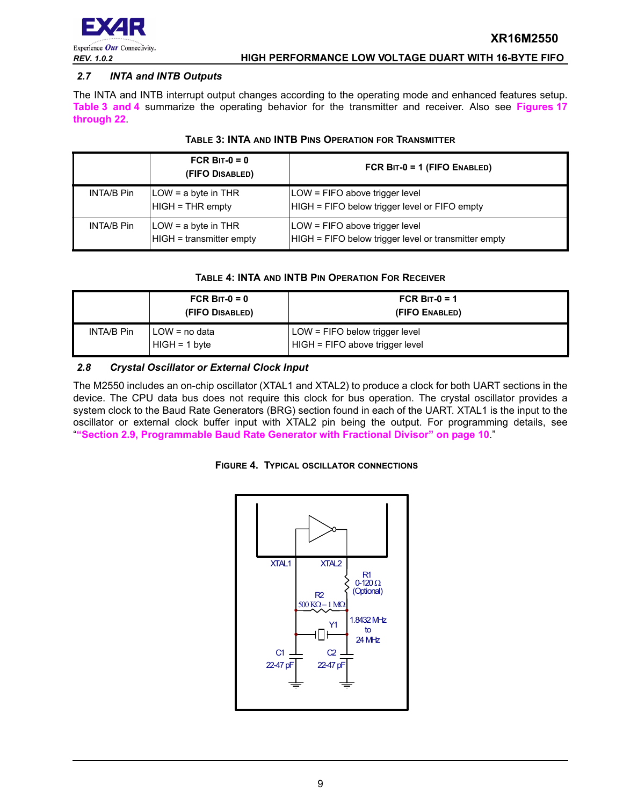

#### <span id="page-8-3"></span>*2.7 INTA and INTB Outputs*

The INTA and INTB interrupt output changes according to the operating mode and enhanced features setup. **[Table](#page-8-0) 3 [and](#page-8-1) 4** summarize the operating behavior for the transmitter and receiver. Also see **Figures [17](#page-39-0) through [22](#page-41-0)**.

<span id="page-8-0"></span>

|                   | FCR BIT- $0 = 0$<br>(FIFO DISABLED)               | FCR $BIT-0 = 1$ (FIFO ENABLED)                                                         |
|-------------------|---------------------------------------------------|----------------------------------------------------------------------------------------|
| <b>INTA/B Pin</b> | $LOW = a$ byte in THR<br>$HIGH = THR$ empty       | LOW = FIFO above trigger level<br>HIGH = FIFO below trigger level or FIFO empty        |
| INTA/B Pin        | $LOW = a$ byte in THR<br>HIGH = transmitter empty | LOW = FIFO above trigger level<br>HIGH = FIFO below trigger level or transmitter empty |

#### **TABLE 3: INTA AND INTB PINS OPERATION FOR TRANSMITTER**

#### **TABLE 4: INTA AND INTB PIN OPERATION FOR RECEIVER**

<span id="page-8-1"></span>

|            | FCR BIT- $0 = 0$<br>(FIFO DISABLED) | FCR B <sub>IT-0</sub> = 1<br>(FIFO ENABLED)                           |  |
|------------|-------------------------------------|-----------------------------------------------------------------------|--|
| INTA/B Pin | I LOW = no data<br>$HIGH = 1 byte$  | $LOW = FIFO$ below trigger level<br>$HIGH = FIFO above trigger level$ |  |

#### <span id="page-8-4"></span>*2.8 Crystal Oscillator or External Clock Input*

The M2550 includes an on-chip oscillator (XTAL1 and XTAL2) to produce a clock for both UART sections in the device. The CPU data bus does not require this clock for bus operation. The crystal oscillator provides a system clock to the Baud Rate Generators (BRG) section found in each of the UART. XTAL1 is the input to the oscillator or external clock buffer input with XTAL2 pin being the output. For programming details, see "**["Section 2.9, Programmable Baud Rate Generator with Fractional Divisor" on page](#page-9-0) 10**."

#### <span id="page-8-2"></span>**FIGURE 4. TYPICAL OSCILLATOR CONNECTIONS**

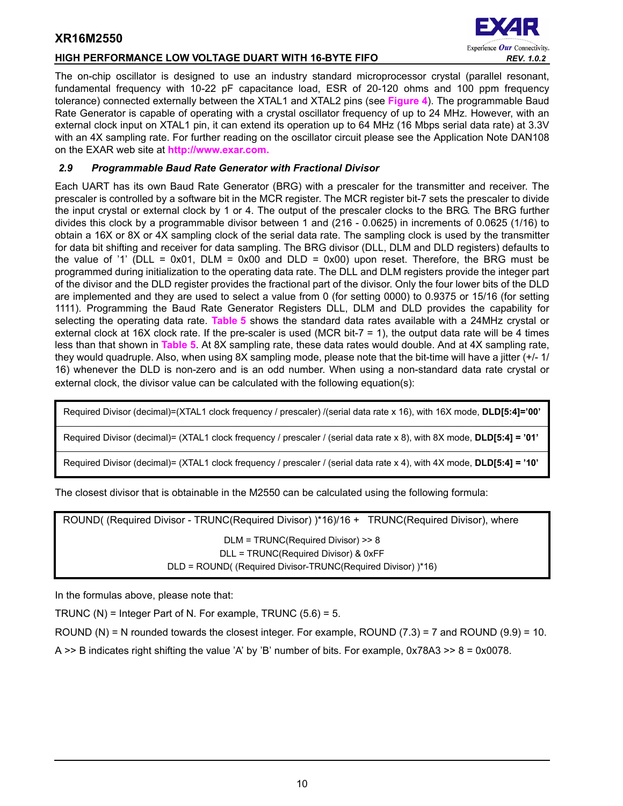# **HIGH PERFORMANCE LOW VOLTAGE DUART WITH 16-BYTE FIFO** *REV. 1.0.2*



The on-chip oscillator is designed to use an industry standard microprocessor crystal (parallel resonant, fundamental frequency with 10-22 pF capacitance load, ESR of 20-120 ohms and 100 ppm frequency tolerance) connected externally between the XTAL1 and XTAL2 pins (see **[Figure](#page-8-2) 4**). The programmable Baud Rate Generator is capable of operating with a crystal oscillator frequency of up to 24 MHz. However, with an external clock input on XTAL1 pin, it can extend its operation up to 64 MHz (16 Mbps serial data rate) at 3.3V with an 4X sampling rate. For further reading on the oscillator circuit please see the Application Note DAN108 on the EXAR web site at **[http://www.exar.com.](http://exar.com)**

# <span id="page-9-0"></span>*2.9 Programmable Baud Rate Generator with Fractional Divisor*

Each UART has its own Baud Rate Generator (BRG) with a prescaler for the transmitter and receiver. The prescaler is controlled by a software bit in the MCR register. The MCR register bit-7 sets the prescaler to divide the input crystal or external clock by 1 or 4. The output of the prescaler clocks to the BRG. The BRG further divides this clock by a programmable divisor between 1 and (216 - 0.0625) in increments of 0.0625 (1/16) to obtain a 16X or 8X or 4X sampling clock of the serial data rate. The sampling clock is used by the transmitter for data bit shifting and receiver for data sampling. The BRG divisor (DLL, DLM and DLD registers) defaults to the value of '1' (DLL = 0x01, DLM = 0x00 and DLD = 0x00) upon reset. Therefore, the BRG must be programmed during initialization to the operating data rate. The DLL and DLM registers provide the integer part of the divisor and the DLD register provides the fractional part of the divisor. Only the four lower bits of the DLD are implemented and they are used to select a value from 0 (for setting 0000) to 0.9375 or 15/16 (for setting 1111). Programming the Baud Rate Generator Registers DLL, DLM and DLD provides the capability for selecting the operating data rate. **[Table](#page-10-0) 5** shows the standard data rates available with a 24MHz crystal or external clock at 16X clock rate. If the pre-scaler is used (MCR bit-7 = 1), the output data rate will be 4 times less than that shown in **[Table](#page-10-0) 5**. At 8X sampling rate, these data rates would double. And at 4X sampling rate, they would quadruple. Also, when using 8X sampling mode, please note that the bit-time will have a jitter (+/- 1/ 16) whenever the DLD is non-zero and is an odd number. When using a non-standard data rate crystal or external clock, the divisor value can be calculated with the following equation(s):

Required Divisor (decimal)=(XTAL1 clock frequency / prescaler) /(serial data rate x 16), with 16X mode, **DLD[5:4]='00'**

Required Divisor (decimal)= (XTAL1 clock frequency / prescaler / (serial data rate x 8), with 8X mode, **DLD[5:4] = '01'**

Required Divisor (decimal)= (XTAL1 clock frequency / prescaler / (serial data rate x 4), with 4X mode, **DLD[5:4] = '10'**

The closest divisor that is obtainable in the M2550 can be calculated using the following formula:

ROUND( (Required Divisor - TRUNC(Required Divisor) )\*16)/16 + TRUNC(Required Divisor), where DLM = TRUNC(Required Divisor) >> 8 DLL = TRUNC(Required Divisor) & 0xFF DLD = ROUND( (Required Divisor-TRUNC(Required Divisor) )\*16)

In the formulas above, please note that:

TRUNC (N) = Integer Part of N. For example, TRUNC  $(5.6) = 5$ .

ROUND (N) = N rounded towards the closest integer. For example, ROUND (7.3) = 7 and ROUND (9.9) = 10.

A  $\geq$  B indicates right shifting the value 'A' by 'B' number of bits. For example, 0x78A3  $\geq$  8 = 0x0078.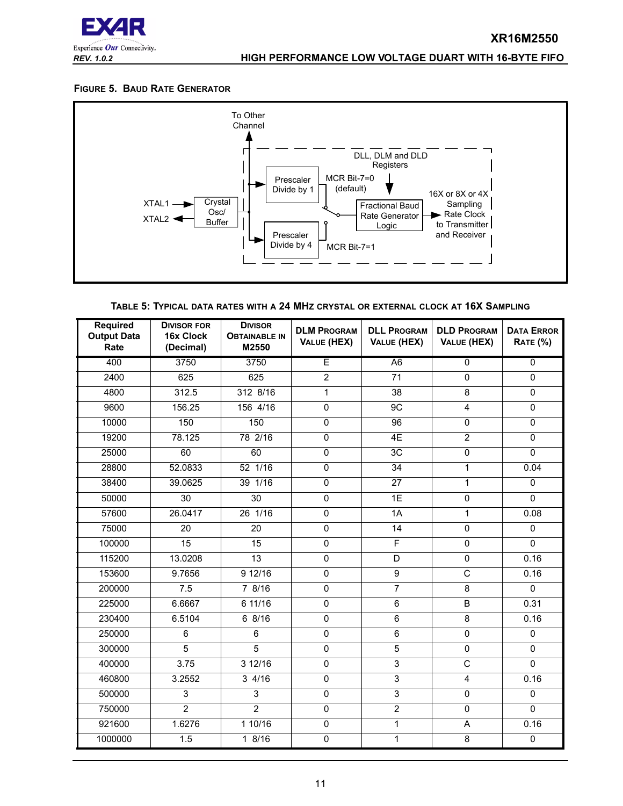

#### <span id="page-10-1"></span>**FIGURE 5. BAUD RATE GENERATOR**



| TABLE 5: TYPICAL DATA RATES WITH A 24 MHZ CRYSTAL OR EXTERNAL CLOCK AT 16X SAMPLING |  |  |
|-------------------------------------------------------------------------------------|--|--|
|-------------------------------------------------------------------------------------|--|--|

<span id="page-10-0"></span>

| <b>Required</b><br><b>Output Data</b><br>Rate | <b>DIVISOR FOR</b><br>16x Clock<br>(Decimal) | <b>DIVISOR</b><br><b>OBTAINABLE IN</b><br>M2550 | <b>DLM PROGRAM</b><br>VALUE (HEX) | <b>DLL PROGRAM</b><br>VALUE (HEX) | <b>DLD PROGRAM</b><br>VALUE (HEX) | <b>DATA ERROR</b><br><b>RATE (%)</b> |
|-----------------------------------------------|----------------------------------------------|-------------------------------------------------|-----------------------------------|-----------------------------------|-----------------------------------|--------------------------------------|
| 400                                           | 3750                                         | 3750                                            | E                                 | A <sub>6</sub>                    | $\overline{0}$                    | $\overline{0}$                       |
| 2400                                          | 625                                          | 625                                             | $\overline{2}$                    | 71                                | $\mathbf{0}$                      | $\Omega$                             |
| 4800                                          | 312.5                                        | 312 8/16                                        | $\overline{1}$                    | $\overline{38}$                   | $\overline{8}$                    | 0                                    |
| 9600                                          | 156.25                                       | 156 4/16                                        | 0                                 | 9C                                | $\overline{\mathbf{4}}$           | 0                                    |
| 10000                                         | 150                                          | 150                                             | $\overline{0}$                    | 96                                | $\overline{0}$                    | 0                                    |
| 19200                                         | 78.125                                       | 78 2/16                                         | 0                                 | 4E                                | $\overline{2}$                    | $\Omega$                             |
| 25000                                         | 60                                           | 60                                              | 0                                 | 3C                                | $\mathbf 0$                       | $\Omega$                             |
| 28800                                         | 52.0833                                      | 52 1/16                                         | 0                                 | 34                                | 1                                 | 0.04                                 |
| 38400                                         | 39.0625                                      | 39 1/16                                         | $\overline{0}$                    | $\overline{27}$                   | $\mathbf{1}$                      | $\Omega$                             |
| 50000                                         | 30                                           | 30                                              | 0                                 | 1E                                | $\mathbf 0$                       | $\mathbf 0$                          |
| 57600                                         | 26.0417                                      | 26 1/16                                         | 0                                 | 1A                                | $\mathbf{1}$                      | 0.08                                 |
| 75000                                         | 20                                           | 20                                              | 0                                 | 14                                | $\Omega$                          | $\Omega$                             |
| 100000                                        | 15                                           | 15                                              | 0                                 | $\overline{\mathsf{F}}$           | $\mathbf 0$                       | $\Omega$                             |
| 115200                                        | 13.0208                                      | 13                                              | 0                                 | $\overline{D}$                    | $\mathsf 0$                       | 0.16                                 |
| 153600                                        | 9.7656                                       | 9 12/16                                         | 0                                 | 9                                 | $\mathsf{C}$                      | 0.16                                 |
| 200000                                        | 7.5                                          | 7 8/16                                          | 0                                 | $\overline{7}$                    | 8                                 | $\Omega$                             |
| 225000                                        | 6.6667                                       | 6 11/16                                         | 0                                 | 6                                 | B                                 | 0.31                                 |
| 230400                                        | 6.5104                                       | 68/16                                           | $\overline{0}$                    | $\overline{6}$                    | $\overline{\mathbf{8}}$           | 0.16                                 |
| 250000                                        | 6                                            | 6                                               | 0                                 | 6                                 | $\mathbf{0}$                      | $\Omega$                             |
| 300000                                        | $\overline{5}$                               | $\overline{5}$                                  | $\overline{0}$                    | $\overline{5}$                    | $\mathbf 0$                       | 0                                    |
| 400000                                        | 3.75                                         | 3 12/16                                         | 0                                 | $\overline{3}$                    | $\overline{c}$                    | $\Omega$                             |
| 460800                                        | 3.2552                                       | 34/16                                           | $\overline{0}$                    | $\overline{3}$                    | 4                                 | 0.16                                 |
| 500000                                        | 3                                            | 3                                               | 0                                 | 3                                 | $\mathbf 0$                       | $\Omega$                             |
| 750000                                        | $\overline{2}$                               | $\overline{2}$                                  | 0                                 | $\overline{2}$                    | $\mathbf{0}$                      | $\Omega$                             |
| 921600                                        | 1.6276                                       | 110/16                                          | 0                                 | $\mathbf{1}$                      | A                                 | 0.16                                 |
| 1000000                                       | 1.5                                          | 1 8/16                                          | $\overline{0}$                    | 1                                 | 8                                 | $\pmb{0}$                            |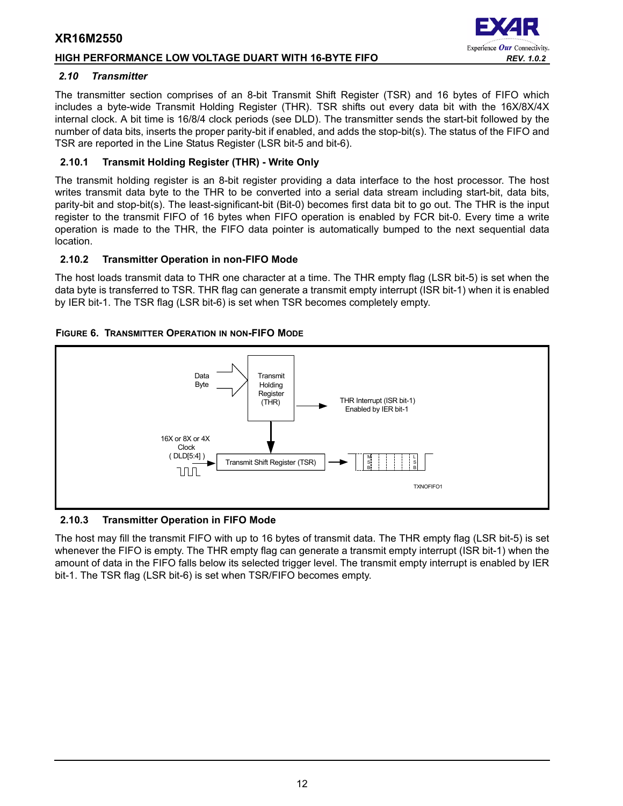# **HIGH PERFORMANCE LOW VOLTAGE DUART WITH 16-BYTE FIFO** *REV. 1.0.2*

#### <span id="page-11-0"></span>*2.10 Transmitter*

The transmitter section comprises of an 8-bit Transmit Shift Register (TSR) and 16 bytes of FIFO which includes a byte-wide Transmit Holding Register (THR). TSR shifts out every data bit with the 16X/8X/4X internal clock. A bit time is 16/8/4 clock periods (see DLD). The transmitter sends the start-bit followed by the number of data bits, inserts the proper parity-bit if enabled, and adds the stop-bit(s). The status of the FIFO and TSR are reported in the Line Status Register (LSR bit-5 and bit-6).

# <span id="page-11-1"></span>**2.10.1 Transmit Holding Register (THR) - Write Only**

The transmit holding register is an 8-bit register providing a data interface to the host processor. The host writes transmit data byte to the THR to be converted into a serial data stream including start-bit, data bits, parity-bit and stop-bit(s). The least-significant-bit (Bit-0) becomes first data bit to go out. The THR is the input register to the transmit FIFO of 16 bytes when FIFO operation is enabled by FCR bit-0. Every time a write operation is made to the THR, the FIFO data pointer is automatically bumped to the next sequential data location.

# <span id="page-11-2"></span>**2.10.2 Transmitter Operation in non-FIFO Mode**

The host loads transmit data to THR one character at a time. The THR empty flag (LSR bit-5) is set when the data byte is transferred to TSR. THR flag can generate a transmit empty interrupt (ISR bit-1) when it is enabled by IER bit-1. The TSR flag (LSR bit-6) is set when TSR becomes completely empty.

# <span id="page-11-3"></span>**FIGURE 6. TRANSMITTER OPERATION IN NON-FIFO MODE**



#### <span id="page-11-4"></span>**2.10.3 Transmitter Operation in FIFO Mode**

The host may fill the transmit FIFO with up to 16 bytes of transmit data. The THR empty flag (LSR bit-5) is set whenever the FIFO is empty. The THR empty flag can generate a transmit empty interrupt (ISR bit-1) when the amount of data in the FIFO falls below its selected trigger level. The transmit empty interrupt is enabled by IER bit-1. The TSR flag (LSR bit-6) is set when TSR/FIFO becomes empty.

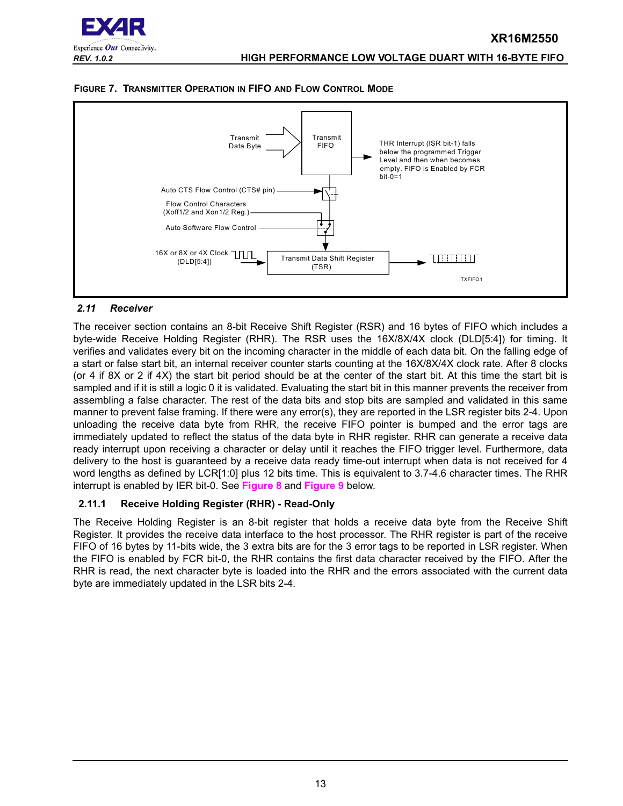

<span id="page-12-1"></span>



#### <span id="page-12-0"></span>*2.11 Receiver*

The receiver section contains an 8-bit Receive Shift Register (RSR) and 16 bytes of FIFO which includes a byte-wide Receive Holding Register (RHR). The RSR uses the 16X/8X/4X clock (DLD[5:4]) for timing. It verifies and validates every bit on the incoming character in the middle of each data bit. On the falling edge of a start or false start bit, an internal receiver counter starts counting at the 16X/8X/4X clock rate. After 8 clocks (or 4 if 8X or 2 if 4X) the start bit period should be at the center of the start bit. At this time the start bit is sampled and if it is still a logic 0 it is validated. Evaluating the start bit in this manner prevents the receiver from assembling a false character. The rest of the data bits and stop bits are sampled and validated in this same manner to prevent false framing. If there were any error(s), they are reported in the LSR register bits 2-4. Upon unloading the receive data byte from RHR, the receive FIFO pointer is bumped and the error tags are immediately updated to reflect the status of the data byte in RHR register. RHR can generate a receive data ready interrupt upon receiving a character or delay until it reaches the FIFO trigger level. Furthermore, data delivery to the host is guaranteed by a receive data ready time-out interrupt when data is not received for 4 word lengths as defined by LCR[1:0] plus 12 bits time. This is equivalent to 3.7-4.6 character times. The RHR interrupt is enabled by IER bit-0. See **[Figure](#page-13-0) 8** and **[Figure](#page-13-1) 9** below.

# <span id="page-12-2"></span>**2.11.1 Receive Holding Register (RHR) - Read-Only**

The Receive Holding Register is an 8-bit register that holds a receive data byte from the Receive Shift Register. It provides the receive data interface to the host processor. The RHR register is part of the receive FIFO of 16 bytes by 11-bits wide, the 3 extra bits are for the 3 error tags to be reported in LSR register. When the FIFO is enabled by FCR bit-0, the RHR contains the first data character received by the FIFO. After the RHR is read, the next character byte is loaded into the RHR and the errors associated with the current data byte are immediately updated in the LSR bits 2-4.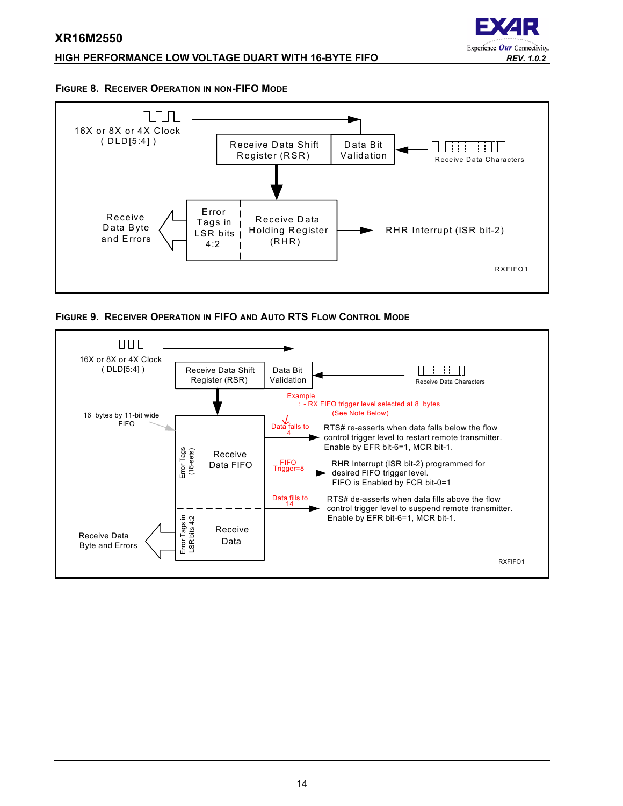# **HIGH PERFORMANCE LOW VOLTAGE DUART WITH 16-BYTE FIFO** *REV. 1.0.2*



#### <span id="page-13-0"></span>**FIGURE 8. RECEIVER OPERATION IN NON-FIFO MODE**



<span id="page-13-1"></span>

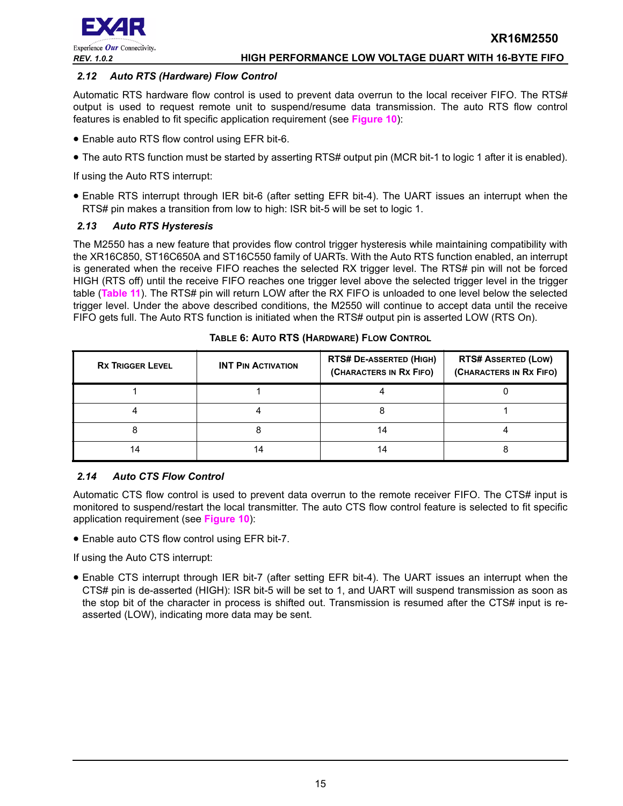

#### <span id="page-14-0"></span>*2.12 Auto RTS (Hardware) Flow Control*

Automatic RTS hardware flow control is used to prevent data overrun to the local receiver FIFO. The RTS# output is used to request remote unit to suspend/resume data transmission. The auto RTS flow control features is enabled to fit specific application requirement (see **[Figure](#page-15-0) 10**):

- Enable auto RTS flow control using EFR bit-6.
- The auto RTS function must be started by asserting RTS# output pin (MCR bit-1 to logic 1 after it is enabled).

If using the Auto RTS interrupt:

• Enable RTS interrupt through IER bit-6 (after setting EFR bit-4). The UART issues an interrupt when the RTS# pin makes a transition from low to high: ISR bit-5 will be set to logic 1.

# <span id="page-14-1"></span>*2.13 Auto RTS Hysteresis*

The M2550 has a new feature that provides flow control trigger hysteresis while maintaining compatibility with the XR16C850, ST16C650A and ST16C550 family of UARTs. With the Auto RTS function enabled, an interrupt is generated when the receive FIFO reaches the selected RX trigger level. The RTS# pin will not be forced HIGH (RTS off) until the receive FIFO reaches one trigger level above the selected trigger level in the trigger table (**[Table](#page-26-0) 11**). The RTS# pin will return LOW after the RX FIFO is unloaded to one level below the selected trigger level. Under the above described conditions, the M2550 will continue to accept data until the receive FIFO gets full. The Auto RTS function is initiated when the RTS# output pin is asserted LOW (RTS On).

<span id="page-14-2"></span>

| <b>RX TRIGGER LEVEL</b> | <b>INT PIN ACTIVATION</b> | <b>RTS# DE-ASSERTED (HIGH)</b><br>(CHARACTERS IN RX FIFO) | <b>RTS# ASSERTED (LOW)</b><br>(CHARACTERS IN RX FIFO) |
|-------------------------|---------------------------|-----------------------------------------------------------|-------------------------------------------------------|
|                         |                           |                                                           |                                                       |
|                         |                           |                                                           |                                                       |
|                         |                           | 14                                                        |                                                       |
| 14                      | 4                         | 14                                                        |                                                       |

#### **TABLE 6: AUTO RTS (HARDWARE) FLOW CONTROL**

# <span id="page-14-3"></span>*2.14 Auto CTS Flow Control*

Automatic CTS flow control is used to prevent data overrun to the remote receiver FIFO. The CTS# input is monitored to suspend/restart the local transmitter. The auto CTS flow control feature is selected to fit specific application requirement (see **[Figure](#page-15-0) 10**):

• Enable auto CTS flow control using EFR bit-7.

If using the Auto CTS interrupt:

• Enable CTS interrupt through IER bit-7 (after setting EFR bit-4). The UART issues an interrupt when the CTS# pin is de-asserted (HIGH): ISR bit-5 will be set to 1, and UART will suspend transmission as soon as the stop bit of the character in process is shifted out. Transmission is resumed after the CTS# input is reasserted (LOW), indicating more data may be sent.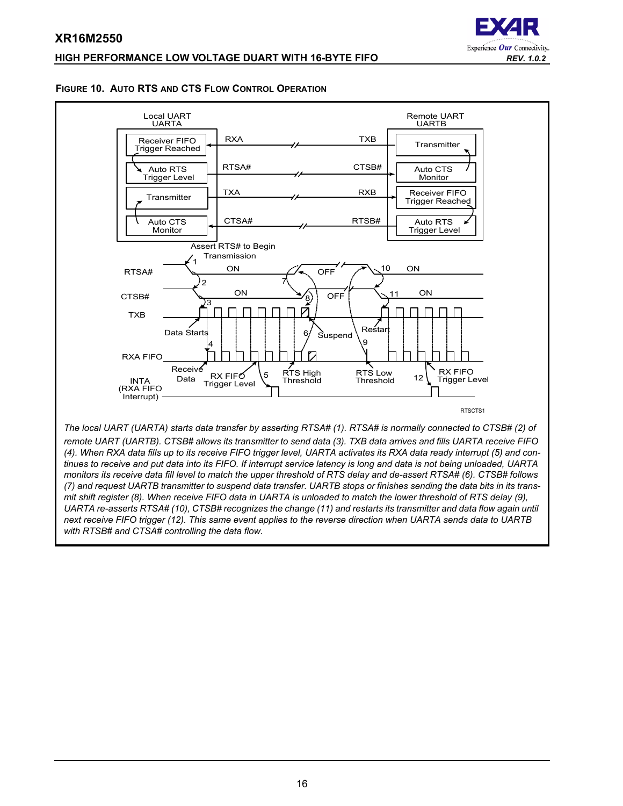# **HIGH PERFORMANCE LOW VOLTAGE DUART WITH 16-BYTE FIFO** *REV. 1.0.2*



#### <span id="page-15-0"></span>**FIGURE 10. AUTO RTS AND CTS FLOW CONTROL OPERATION**

**XR16M2550**



*(4). When RXA data fills up to its receive FIFO trigger level, UARTA activates its RXA data ready interrupt (5) and continues to receive and put data into its FIFO. If interrupt service latency is long and data is not being unloaded, UARTA monitors its receive data fill level to match the upper threshold of RTS delay and de-assert RTSA# (6). CTSB# follows (7) and request UARTB transmitter to suspend data transfer. UARTB stops or finishes sending the data bits in its transmit shift register (8). When receive FIFO data in UARTA is unloaded to match the lower threshold of RTS delay (9), UARTA re-asserts RTSA# (10), CTSB# recognizes the change (11) and restarts its transmitter and data flow again until next receive FIFO trigger (12). This same event applies to the reverse direction when UARTA sends data to UARTB with RTSB# and CTSA# controlling the data flow.*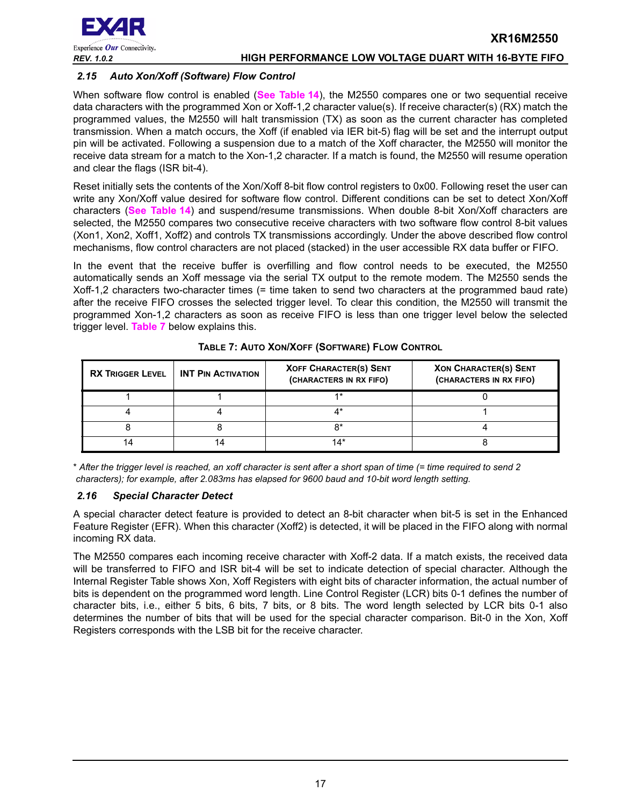

# <span id="page-16-1"></span>*2.15 Auto Xon/Xoff (Software) Flow Control*

When software flow control is enabled (**[See Table](#page-32-0) 14**), the M2550 compares one or two sequential receive data characters with the programmed Xon or Xoff-1,2 character value(s). If receive character(s) (RX) match the programmed values, the M2550 will halt transmission (TX) as soon as the current character has completed transmission. When a match occurs, the Xoff (if enabled via IER bit-5) flag will be set and the interrupt output pin will be activated. Following a suspension due to a match of the Xoff character, the M2550 will monitor the receive data stream for a match to the Xon-1,2 character. If a match is found, the M2550 will resume operation and clear the flags (ISR bit-4).

Reset initially sets the contents of the Xon/Xoff 8-bit flow control registers to 0x00. Following reset the user can write any Xon/Xoff value desired for software flow control. Different conditions can be set to detect Xon/Xoff characters (**[See Table](#page-32-0) 14**) and suspend/resume transmissions. When double 8-bit Xon/Xoff characters are selected, the M2550 compares two consecutive receive characters with two software flow control 8-bit values (Xon1, Xon2, Xoff1, Xoff2) and controls TX transmissions accordingly. Under the above described flow control mechanisms, flow control characters are not placed (stacked) in the user accessible RX data buffer or FIFO.

In the event that the receive buffer is overfilling and flow control needs to be executed, the M2550 automatically sends an Xoff message via the serial TX output to the remote modem. The M2550 sends the Xoff-1,2 characters two-character times (= time taken to send two characters at the programmed baud rate) after the receive FIFO crosses the selected trigger level. To clear this condition, the M2550 will transmit the programmed Xon-1,2 characters as soon as receive FIFO is less than one trigger level below the selected trigger level. **[Table](#page-16-0) 7** below explains this.

<span id="page-16-0"></span>

| <b>RX TRIGGER LEVEL</b> | <b>INT PIN ACTIVATION</b> | <b>XOFF CHARACTER(S) SENT</b><br>(CHARACTERS IN RX FIFO) | <b>XON CHARACTER(S) SENT</b><br>(CHARACTERS IN RX FIFO) |
|-------------------------|---------------------------|----------------------------------------------------------|---------------------------------------------------------|
|                         |                           | $4*$                                                     |                                                         |
|                         |                           |                                                          |                                                         |
|                         |                           | n.                                                       |                                                         |
|                         |                           | 14*                                                      |                                                         |

#### **TABLE 7: AUTO XON/XOFF (SOFTWARE) FLOW CONTROL**

\* *After the trigger level is reached, an xoff character is sent after a short span of time (= time required to send 2 characters); for example, after 2.083ms has elapsed for 9600 baud and 10-bit word length setting.*

# <span id="page-16-2"></span>*2.16 Special Character Detect*

A special character detect feature is provided to detect an 8-bit character when bit-5 is set in the Enhanced Feature Register (EFR). When this character (Xoff2) is detected, it will be placed in the FIFO along with normal incoming RX data.

The M2550 compares each incoming receive character with Xoff-2 data. If a match exists, the received data will be transferred to FIFO and ISR bit-4 will be set to indicate detection of special character. Although the Internal Register Table shows Xon, Xoff Registers with eight bits of character information, the actual number of bits is dependent on the programmed word length. Line Control Register (LCR) bits 0-1 defines the number of character bits, i.e., either 5 bits, 6 bits, 7 bits, or 8 bits. The word length selected by LCR bits 0-1 also determines the number of bits that will be used for the special character comparison. Bit-0 in the Xon, Xoff Registers corresponds with the LSB bit for the receive character.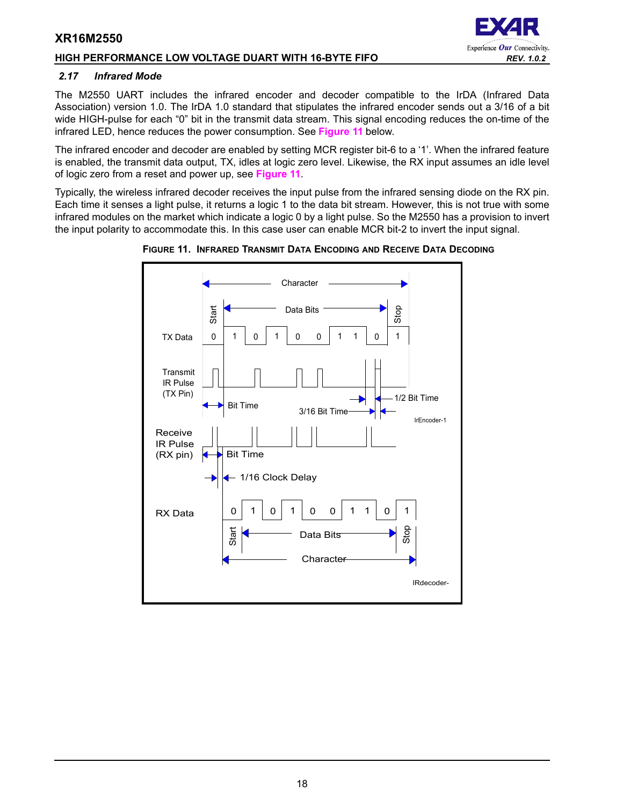# **HIGH PERFORMANCE LOW VOLTAGE DUART WITH 16-BYTE FIFO** *REV. 1.0.2*

#### <span id="page-17-1"></span>*2.17 Infrared Mode*

The M2550 UART includes the infrared encoder and decoder compatible to the IrDA (Infrared Data Association) version 1.0. The IrDA 1.0 standard that stipulates the infrared encoder sends out a 3/16 of a bit wide HIGH-pulse for each "0" bit in the transmit data stream. This signal encoding reduces the on-time of the infrared LED, hence reduces the power consumption. See **[Figure](#page-17-0) 11** below.

The infrared encoder and decoder are enabled by setting MCR register bit-6 to a '1'. When the infrared feature is enabled, the transmit data output, TX, idles at logic zero level. Likewise, the RX input assumes an idle level of logic zero from a reset and power up, see **[Figure](#page-17-0) 11**.

Typically, the wireless infrared decoder receives the input pulse from the infrared sensing diode on the RX pin. Each time it senses a light pulse, it returns a logic 1 to the data bit stream. However, this is not true with some infrared modules on the market which indicate a logic 0 by a light pulse. So the M2550 has a provision to invert the input polarity to accommodate this. In this case user can enable MCR bit-2 to invert the input signal.



<span id="page-17-0"></span>**FIGURE 11. INFRARED TRANSMIT DATA ENCODING AND RECEIVE DATA DECODING**

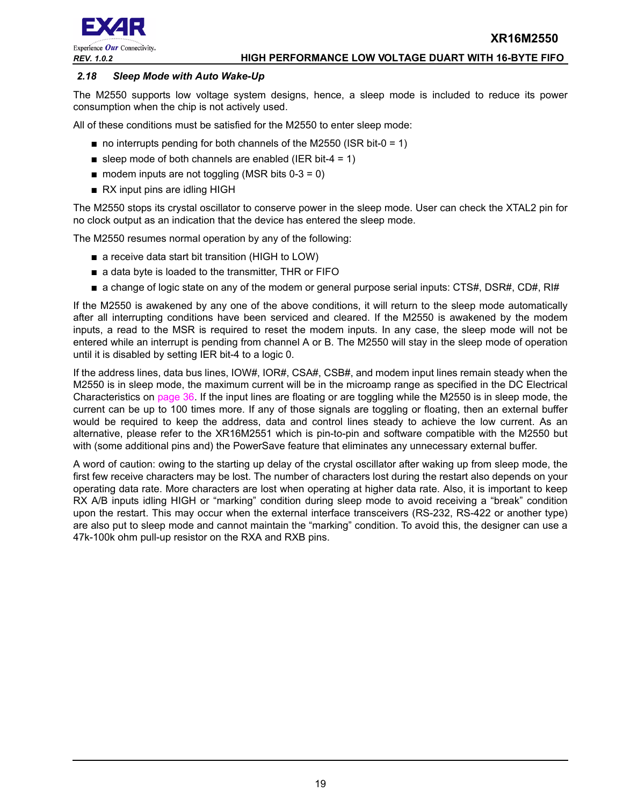



#### <span id="page-18-0"></span>*2.18 Sleep Mode with Auto Wake-Up*

The M2550 supports low voltage system designs, hence, a sleep mode is included to reduce its power consumption when the chip is not actively used.

All of these conditions must be satisfied for the M2550 to enter sleep mode:

- $\blacksquare$  no interrupts pending for both channels of the M2550 (ISR bit-0 = 1)
- sleep mode of both channels are enabled (IER bit-4 = 1)
- $\blacksquare$  modem inputs are not toggling (MSR bits 0-3 = 0)
- RX input pins are idling HIGH

The M2550 stops its crystal oscillator to conserve power in the sleep mode. User can check the XTAL2 pin for no clock output as an indication that the device has entered the sleep mode.

The M2550 resumes normal operation by any of the following:

- a receive data start bit transition (HIGH to LOW)
- a data byte is loaded to the transmitter, THR or FIFO
- a change of logic state on any of the modem or general purpose serial inputs: CTS#, DSR#, CD#, RI#

If the M2550 is awakened by any one of the above conditions, it will return to the sleep mode automatically after all interrupting conditions have been serviced and cleared. If the M2550 is awakened by the modem inputs, a read to the MSR is required to reset the modem inputs. In any case, the sleep mode will not be entered while an interrupt is pending from channel A or B. The M2550 will stay in the sleep mode of operation until it is disabled by setting IER bit-4 to a logic 0.

If the address lines, data bus lines, IOW#, IOR#, CSA#, CSB#, and modem input lines remain steady when the M2550 is in sleep mode, the maximum current will be in the microamp range as specified in the DC Electrical Characteristics on [page](#page-35-0) 36. If the input lines are floating or are toggling while the M2550 is in sleep mode, the current can be up to 100 times more. If any of those signals are toggling or floating, then an external buffer would be required to keep the address, data and control lines steady to achieve the low current. As an alternative, please refer to the XR16M2551 which is pin-to-pin and software compatible with the M2550 but with (some additional pins and) the PowerSave feature that eliminates any unnecessary external buffer.

A word of caution: owing to the starting up delay of the crystal oscillator after waking up from sleep mode, the first few receive characters may be lost. The number of characters lost during the restart also depends on your operating data rate. More characters are lost when operating at higher data rate. Also, it is important to keep RX A/B inputs idling HIGH or "marking" condition during sleep mode to avoid receiving a "break" condition upon the restart. This may occur when the external interface transceivers (RS-232, RS-422 or another type) are also put to sleep mode and cannot maintain the "marking" condition. To avoid this, the designer can use a 47k-100k ohm pull-up resistor on the RXA and RXB pins.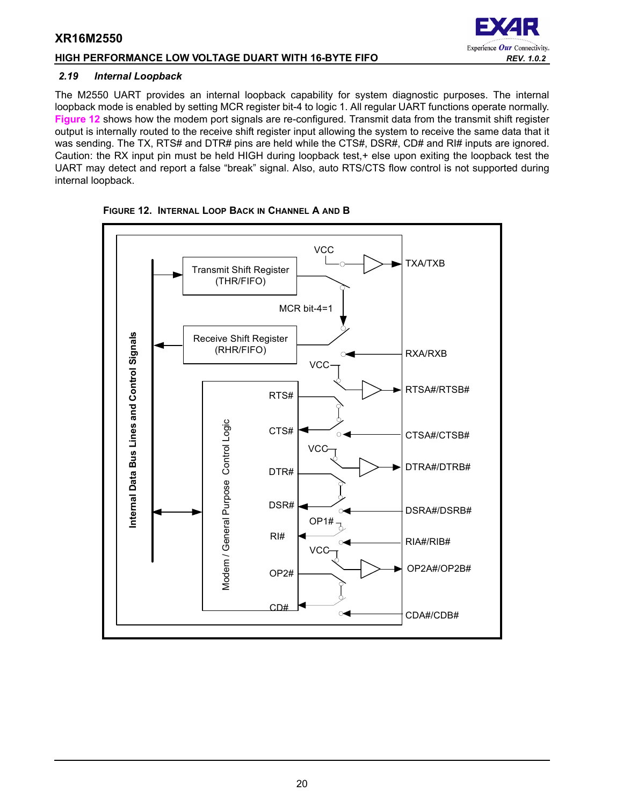# **HIGH PERFORMANCE LOW VOLTAGE DUART WITH 16-BYTE FIFO** *REV. 1.0.2*

# <span id="page-19-1"></span>*2.19 Internal Loopback*

The M2550 UART provides an internal loopback capability for system diagnostic purposes. The internal loopback mode is enabled by setting MCR register bit-4 to logic 1. All regular UART functions operate normally. **[Figure](#page-19-0) 12** shows how the modem port signals are re-configured. Transmit data from the transmit shift register output is internally routed to the receive shift register input allowing the system to receive the same data that it was sending. The TX, RTS# and DTR# pins are held while the CTS#, DSR#, CD# and RI# inputs are ignored. Caution: the RX input pin must be held HIGH during loopback test,+ else upon exiting the loopback test the UART may detect and report a false "break" signal. Also, auto RTS/CTS flow control is not supported during internal loopback.



<span id="page-19-0"></span>

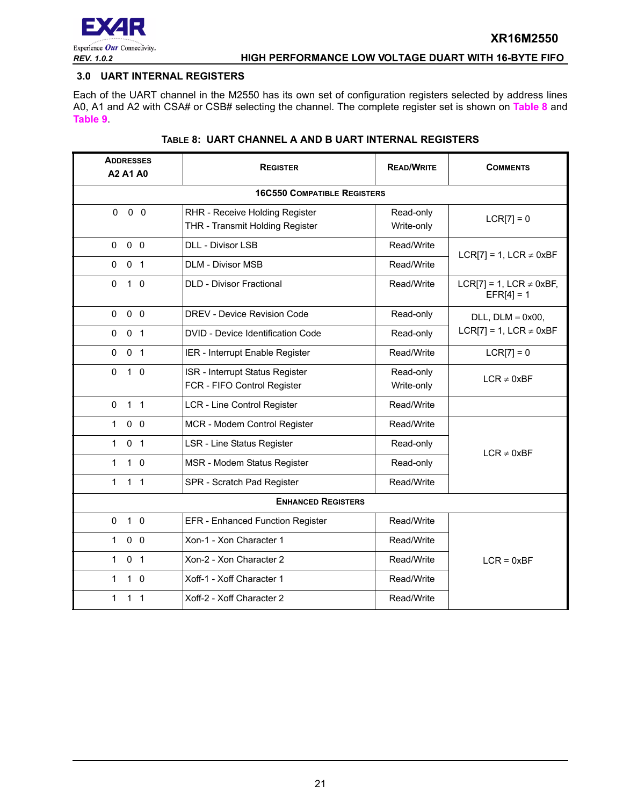

#### <span id="page-20-0"></span>**3.0 UART INTERNAL REGISTERS**

Each of the UART channel in the M2550 has its own set of configuration registers selected by address lines A0, A1 and A2 with CSA# or CSB# selecting the channel. The complete register set is shown on **[Table](#page-20-1) 8** and **[Table](#page-21-0) 9**.

<span id="page-20-1"></span>

| <b>ADDRESSES</b><br>A2 A1 A0   | <b>REGISTER</b>                                                   | <b>READ/WRITE</b>       | <b>COMMENTS</b>                              |  |  |  |  |  |  |  |
|--------------------------------|-------------------------------------------------------------------|-------------------------|----------------------------------------------|--|--|--|--|--|--|--|
|                                | <b>16C550 COMPATIBLE REGISTERS</b>                                |                         |                                              |  |  |  |  |  |  |  |
| $\Omega$<br>$0\quad 0$         | RHR - Receive Holding Register<br>THR - Transmit Holding Register | $LCR[7] = 0$            |                                              |  |  |  |  |  |  |  |
| $0\quad 0$<br>$\mathbf{0}$     | <b>DLL - Divisor LSB</b>                                          | Read/Write              | LCR[7] = 1, LCR $\neq$ 0xBF                  |  |  |  |  |  |  |  |
| 0 <sub>1</sub><br>0            | <b>DLM - Divisor MSB</b>                                          |                         |                                              |  |  |  |  |  |  |  |
| $\mathbf 0$<br>$1\quad$ 0      | <b>DLD - Divisor Fractional</b>                                   | Read/Write              | LCR[7] = 1, LCR $\neq$ 0xBF,<br>$EFR[4] = 1$ |  |  |  |  |  |  |  |
| 0<br>0 <sub>0</sub>            | DREV - Device Revision Code                                       | Read-only               | $DLL$ , $DLM = 0x00$ ,                       |  |  |  |  |  |  |  |
| 0 <sub>1</sub><br>0            | DVID - Device Identification Code                                 | Read-only               | $LCR[7] = 1$ , $LCR \neq 0xBF$               |  |  |  |  |  |  |  |
| 0 <sub>1</sub><br>$\mathbf{0}$ | IER - Interrupt Enable Register                                   | Read/Write              | $LCR[7] = 0$                                 |  |  |  |  |  |  |  |
| $\mathbf 0$<br>$1\quad 0$      | ISR - Interrupt Status Register<br>FCR - FIFO Control Register    | Read-only<br>Write-only | $LCR \neq 0xBF$                              |  |  |  |  |  |  |  |
| 1 <sub>1</sub><br>$\mathbf{0}$ | <b>LCR - Line Control Register</b>                                | Read/Write              |                                              |  |  |  |  |  |  |  |
| 0 <sub>0</sub><br>$\mathbf{1}$ | MCR - Modem Control Register                                      | Read/Write              |                                              |  |  |  |  |  |  |  |
| 0 <sub>1</sub><br>$\mathbf{1}$ | <b>LSR - Line Status Register</b>                                 | Read-only               | $LCR \neq 0xBF$                              |  |  |  |  |  |  |  |
| $\mathbf{1}$<br>$1\quad$ 0     | MSR - Modem Status Register                                       | Read-only               |                                              |  |  |  |  |  |  |  |
| 1 <sub>1</sub><br>1            | SPR - Scratch Pad Register                                        | Read/Write              |                                              |  |  |  |  |  |  |  |
|                                | <b>ENHANCED REGISTERS</b>                                         |                         |                                              |  |  |  |  |  |  |  |
| $1\quad0$<br>0                 | EFR - Enhanced Function Register                                  | Read/Write              |                                              |  |  |  |  |  |  |  |
| $0\quad 0$<br>$\mathbf{1}$     | Xon-1 - Xon Character 1                                           | Read/Write              |                                              |  |  |  |  |  |  |  |
| 0 <sub>1</sub><br>$\mathbf 1$  | Xon-2 - Xon Character 2                                           | Read/Write              | $LCR = 0xBF$                                 |  |  |  |  |  |  |  |
| $\mathbf{1}$<br>$1\quad 0$     | Xoff-1 - Xoff Character 1                                         | Read/Write              |                                              |  |  |  |  |  |  |  |
| 1<br>$1\quad1$                 | Xoff-2 - Xoff Character 2                                         | Read/Write              |                                              |  |  |  |  |  |  |  |

#### **TABLE 8: UART CHANNEL A AND B UART INTERNAL REGISTERS**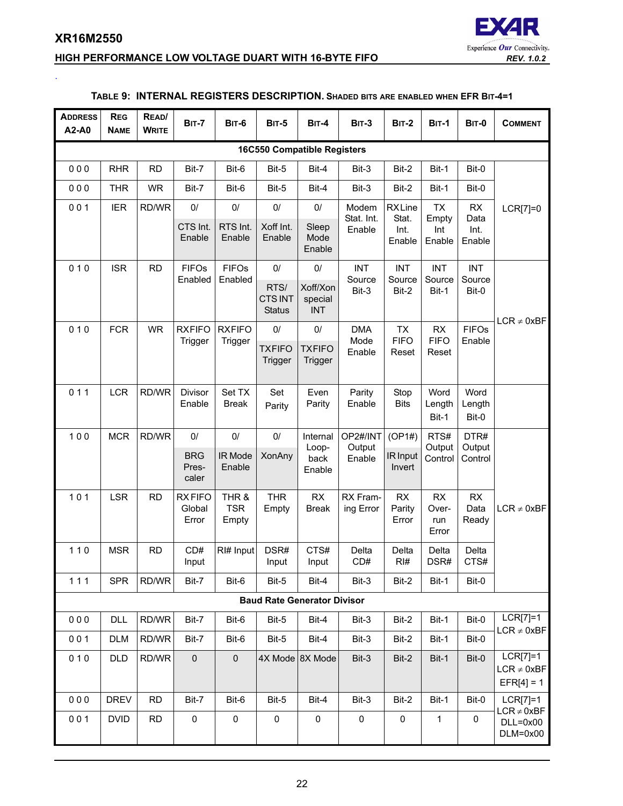<span id="page-21-0"></span>.

# **HIGH PERFORMANCE LOW VOLTAGE DUART WITH 16-BYTE FIFO** *REV. 1.0.2*



# **TABLE 9: INTERNAL REGISTERS DESCRIPTION. SHADED BITS ARE ENABLED WHEN EFR BIT-4=1**

| <b>ADDRESS</b><br>A2-A0            | <b>REG</b><br><b>NAME</b>          | READ/<br><b>WRITE</b> | <b>BIT-7</b>                     | <b>BIT-6</b>                 | <b>BIT-5</b>                           | <b>BIT-4</b>                      | <b>BIT-3</b>          | <b>BIT-2</b>                 | <b>BIT-1</b>                       | BIT-0                      | <b>COMMENT</b>                                |
|------------------------------------|------------------------------------|-----------------------|----------------------------------|------------------------------|----------------------------------------|-----------------------------------|-----------------------|------------------------------|------------------------------------|----------------------------|-----------------------------------------------|
|                                    | <b>16C550 Compatible Registers</b> |                       |                                  |                              |                                        |                                   |                       |                              |                                    |                            |                                               |
| 000                                | <b>RHR</b>                         | <b>RD</b>             | Bit-7                            | Bit-6                        | Bit-5                                  | Bit-4                             | Bit-3                 | Bit-2                        | Bit-1                              | Bit-0                      |                                               |
| 000                                | <b>THR</b>                         | <b>WR</b>             | Bit-7                            | Bit-6                        | Bit-5                                  | Bit-4                             | Bit-3                 | Bit-2                        | Bit-1                              | Bit-0                      |                                               |
| 001                                | <b>IER</b>                         | RD/WR                 | 0/                               | $0/$                         | $0/$                                   | $0/$                              | Modem<br>Stat. Int.   | <b>RXLine</b><br>Stat.       | <b>TX</b><br>Empty                 | RX<br>Data                 | LCR[7]=0                                      |
|                                    |                                    |                       | CTS Int.<br>Enable               | RTS Int.<br>Enable           | Xoff Int.<br>Enable                    | Sleep<br>Mode<br>Enable           | Enable                | Int.<br>Enable               | Int<br>Enable                      | Int.<br>Enable             |                                               |
| 010                                | <b>ISR</b>                         | <b>RD</b>             | <b>FIFOs</b><br>Enabled          | <b>FIFOs</b><br>Enabled      | 0/                                     | $0/$                              | <b>INT</b><br>Source  | <b>INT</b><br>Source         | <b>INT</b><br>Source               | <b>INT</b><br>Source       |                                               |
|                                    |                                    |                       |                                  |                              | RTS/<br><b>CTSINT</b><br><b>Status</b> | Xoff/Xon<br>special<br><b>INT</b> | Bit-3                 | Bit-2                        | Bit-1                              | Bit-0                      | $LCR \neq 0xBF$                               |
| 010                                | <b>FCR</b>                         | <b>WR</b>             | <b>RXFIFO</b><br>Trigger         | <b>RXFIFO</b><br>Trigger     | 0/                                     | $0/$                              | <b>DMA</b><br>Mode    | <b>TX</b><br><b>FIFO</b>     | RX<br><b>FIFO</b>                  | <b>FIFOs</b><br>Enable     |                                               |
|                                    |                                    |                       |                                  |                              | <b>TXFIFO</b><br>Trigger               | <b>TXFIFO</b><br>Trigger          | Enable                | Reset                        | Reset                              |                            |                                               |
| 011                                | <b>LCR</b>                         | RD/WR                 | Divisor                          | Set TX                       | Set                                    | Even                              | Parity                | Stop                         | Word                               | Word                       |                                               |
|                                    |                                    |                       | Enable                           | <b>Break</b>                 | Parity                                 | Parity                            | Enable                | <b>Bits</b>                  | Length<br>Bit-1                    | Length<br>Bit-0            |                                               |
| 100                                | <b>MCR</b>                         | RD/WR                 | 0/                               | $0/$                         | $0/$                                   | Internal                          | OP2#/INT              | (OP1#)                       | RTS#                               | DTR#                       |                                               |
|                                    |                                    |                       | <b>BRG</b><br>Pres-<br>caler     | IR Mode<br>Enable            | <b>XonAny</b>                          | Loop-<br>back<br>Enable           | Output<br>Enable      | IR Input<br>Invert           | Output<br>Control                  | Output<br>Control          |                                               |
| 101                                | <b>LSR</b>                         | <b>RD</b>             | <b>RXFIFO</b><br>Global<br>Error | THR &<br><b>TSR</b><br>Empty | <b>THR</b><br>Empty                    | <b>RX</b><br><b>Break</b>         | RX Fram-<br>ing Error | <b>RX</b><br>Parity<br>Error | <b>RX</b><br>Over-<br>run<br>Error | <b>RX</b><br>Data<br>Ready | $LCR \neq 0xBF$                               |
| $110$                              | <b>MSR</b>                         | <b>RD</b>             | CD#<br>Input                     | RI# Input                    | DSR#<br>Input                          | CTS#<br>Input                     | Delta<br>CD#          | Delta<br>$R$ <sup>#</sup>    | Delta<br>DSR#                      | Delta<br>CTS#              |                                               |
| 111                                | <b>SPR</b>                         | RD/WR                 | Bit-7                            | Bit-6                        | Bit-5                                  | Bit-4                             | Bit-3                 | Bit-2                        | Bit-1                              | Bit-0                      |                                               |
| <b>Baud Rate Generator Divisor</b> |                                    |                       |                                  |                              |                                        |                                   |                       |                              |                                    |                            |                                               |
| 000                                | <b>DLL</b>                         | RD/WR                 | Bit-7                            | Bit-6                        | Bit-5                                  | Bit-4                             | Bit-3                 | Bit-2                        | Bit-1                              | Bit-0                      | $LCR[7]=1$<br>$LCR \neq 0xBF$                 |
| 001                                | <b>DLM</b>                         | RD/WR                 | Bit-7                            | Bit-6                        | Bit-5                                  | Bit-4                             | Bit-3                 | Bit-2                        | Bit-1                              | Bit-0                      |                                               |
| 010                                | <b>DLD</b>                         | RD/WR                 | $\pmb{0}$                        | $\pmb{0}$                    |                                        | 4X Mode 8X Mode                   | Bit-3                 | Bit-2                        | Bit-1                              | Bit-0                      | $LCR[7]=1$<br>$LCR \neq 0xBF$<br>$EFR[4] = 1$ |
| 000                                | <b>DREV</b>                        | <b>RD</b>             | Bit-7                            | Bit-6                        | Bit-5                                  | Bit-4                             | Bit-3                 | Bit-2                        | Bit-1                              | Bit-0                      | $LCR[7]=1$<br>$LCR \neq 0xBF$                 |
| 001                                | <b>DVID</b>                        | <b>RD</b>             | $\pmb{0}$                        | $\pmb{0}$                    | $\pmb{0}$                              | $\mathbf 0$                       | $\mathsf 0$           | 0                            | $\mathbf{1}$                       | 0                          | $DLL = 0x00$<br>DLM=0x00                      |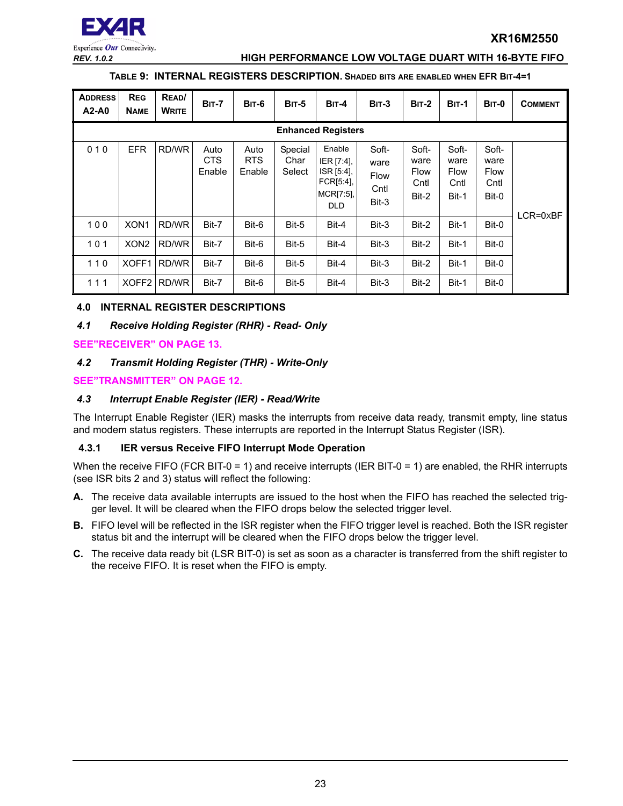

#### *REV. 1.0.2* **HIGH PERFORMANCE LOW VOLTAGE DUART WITH 16-BYTE FIFO**

#### **TABLE 9: INTERNAL REGISTERS DESCRIPTION. SHADED BITS ARE ENABLED WHEN EFR BIT-4=1**

| <b>ADDRESS</b><br>$A2-A0$ | <b>REG</b><br><b>NAME</b> | READ/<br><b>WRITE</b> | <b>BIT-7</b>                 | BIT-6                        | <b>BIT-5</b>              | $BIT-4$                                                                       | $BIT-3$                                       | $BIT-2$                                | <b>BIT-1</b>                                  | BIT-0                                         | <b>COMMENT</b> |
|---------------------------|---------------------------|-----------------------|------------------------------|------------------------------|---------------------------|-------------------------------------------------------------------------------|-----------------------------------------------|----------------------------------------|-----------------------------------------------|-----------------------------------------------|----------------|
|                           | <b>Enhanced Registers</b> |                       |                              |                              |                           |                                                                               |                                               |                                        |                                               |                                               |                |
| 010                       | <b>EFR</b>                | RD/WR                 | Auto<br><b>CTS</b><br>Enable | Auto<br><b>RTS</b><br>Enable | Special<br>Char<br>Select | Enable<br>IER [7:4],<br>ISR [5:4],<br>FCR[5:4],<br>$MCRI7:5$ ],<br><b>DLD</b> | Soft-<br>ware<br><b>Flow</b><br>Cntl<br>Bit-3 | Soft-<br>ware<br>Flow<br>Cntl<br>Bit-2 | Soft-<br>ware<br><b>Flow</b><br>Cntl<br>Bit-1 | Soft-<br>ware<br><b>Flow</b><br>Cntl<br>Bit-0 | LCR=0xBF       |
| $100$                     | XON <sub>1</sub>          | RD/WR                 | Bit-7                        | Bit-6                        | Bit-5                     | Bit-4                                                                         | Bit-3                                         | Bit-2                                  | Bit-1                                         | Bit-0                                         |                |
| 101                       | XON <sub>2</sub>          | RD/WR                 | Bit-7                        | Bit-6                        | Bit-5                     | Bit-4                                                                         | Bit-3                                         | Bit-2                                  | Bit-1                                         | Bit-0                                         |                |
| $110$                     | XOFF1                     | RD/WR                 | Bit-7                        | Bit-6                        | Bit-5                     | Bit-4                                                                         | Bit-3                                         | Bit-2                                  | Bit-1                                         | Bit-0                                         |                |
| 111                       | XOFF <sub>2</sub>         | RD/WR                 | Bit-7                        | Bit-6                        | Bit-5                     | Bit-4                                                                         | Bit-3                                         | Bit-2                                  | Bit-1                                         | Bit-0                                         |                |

#### <span id="page-22-0"></span>**4.0 INTERNAL REGISTER DESCRIPTIONS**

#### <span id="page-22-1"></span>*4.1 Receive Holding Register (RHR) - Read- Only*

**[SEE"RECEIVER" ON PAGE](#page-12-0) 13.**

#### <span id="page-22-2"></span>*4.2 Transmit Holding Register (THR) - Write-Only*

**[SEE"TRANSMITTER" ON PAGE](#page-11-0) 12.**

#### <span id="page-22-3"></span>*4.3 Interrupt Enable Register (IER) - Read/Write*

The Interrupt Enable Register (IER) masks the interrupts from receive data ready, transmit empty, line status and modem status registers. These interrupts are reported in the Interrupt Status Register (ISR).

#### <span id="page-22-4"></span>**4.3.1 IER versus Receive FIFO Interrupt Mode Operation**

When the receive FIFO (FCR BIT-0 = 1) and receive interrupts (IER BIT-0 = 1) are enabled, the RHR interrupts (see ISR bits 2 and 3) status will reflect the following:

- **A.** The receive data available interrupts are issued to the host when the FIFO has reached the selected trigger level. It will be cleared when the FIFO drops below the selected trigger level.
- **B.** FIFO level will be reflected in the ISR register when the FIFO trigger level is reached. Both the ISR register status bit and the interrupt will be cleared when the FIFO drops below the trigger level.
- **C.** The receive data ready bit (LSR BIT-0) is set as soon as a character is transferred from the shift register to the receive FIFO. It is reset when the FIFO is empty.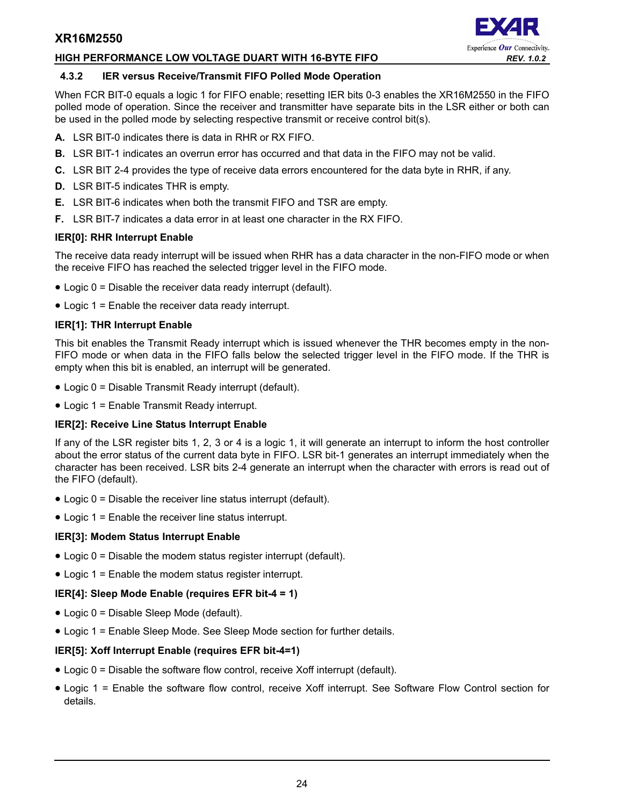#### **HIGH PERFORMANCE LOW VOLTAGE DUART WITH 16-BYTE FIFO** *REV. 1.0.2*



#### <span id="page-23-0"></span>**4.3.2 IER versus Receive/Transmit FIFO Polled Mode Operation**

When FCR BIT-0 equals a logic 1 for FIFO enable; resetting IER bits 0-3 enables the XR16M2550 in the FIFO polled mode of operation. Since the receiver and transmitter have separate bits in the LSR either or both can be used in the polled mode by selecting respective transmit or receive control bit(s).

- **A.** LSR BIT-0 indicates there is data in RHR or RX FIFO.
- **B.** LSR BIT-1 indicates an overrun error has occurred and that data in the FIFO may not be valid.
- **C.** LSR BIT 2-4 provides the type of receive data errors encountered for the data byte in RHR, if any.
- **D.** LSR BIT-5 indicates THR is empty.
- **E.** LSR BIT-6 indicates when both the transmit FIFO and TSR are empty.
- **F.** LSR BIT-7 indicates a data error in at least one character in the RX FIFO.

#### **IER[0]: RHR Interrupt Enable**

The receive data ready interrupt will be issued when RHR has a data character in the non-FIFO mode or when the receive FIFO has reached the selected trigger level in the FIFO mode.

- Logic 0 = Disable the receiver data ready interrupt (default).
- Logic 1 = Enable the receiver data ready interrupt.

#### **IER[1]: THR Interrupt Enable**

This bit enables the Transmit Ready interrupt which is issued whenever the THR becomes empty in the non-FIFO mode or when data in the FIFO falls below the selected trigger level in the FIFO mode. If the THR is empty when this bit is enabled, an interrupt will be generated.

- Logic 0 = Disable Transmit Ready interrupt (default).
- Logic 1 = Enable Transmit Ready interrupt.

#### **IER[2]: Receive Line Status Interrupt Enable**

If any of the LSR register bits 1, 2, 3 or 4 is a logic 1, it will generate an interrupt to inform the host controller about the error status of the current data byte in FIFO. LSR bit-1 generates an interrupt immediately when the character has been received. LSR bits 2-4 generate an interrupt when the character with errors is read out of the FIFO (default).

- Logic 0 = Disable the receiver line status interrupt (default).
- Logic 1 = Enable the receiver line status interrupt.

#### **IER[3]: Modem Status Interrupt Enable**

- Logic 0 = Disable the modem status register interrupt (default).
- Logic 1 = Enable the modem status register interrupt.

#### **IER[4]: Sleep Mode Enable (requires EFR bit-4 = 1)**

- Logic 0 = Disable Sleep Mode (default).
- Logic 1 = Enable Sleep Mode. See Sleep Mode section for further details.

#### **IER[5]: Xoff Interrupt Enable (requires EFR bit-4=1)**

- Logic 0 = Disable the software flow control, receive Xoff interrupt (default).
- Logic 1 = Enable the software flow control, receive Xoff interrupt. See Software Flow Control section for details.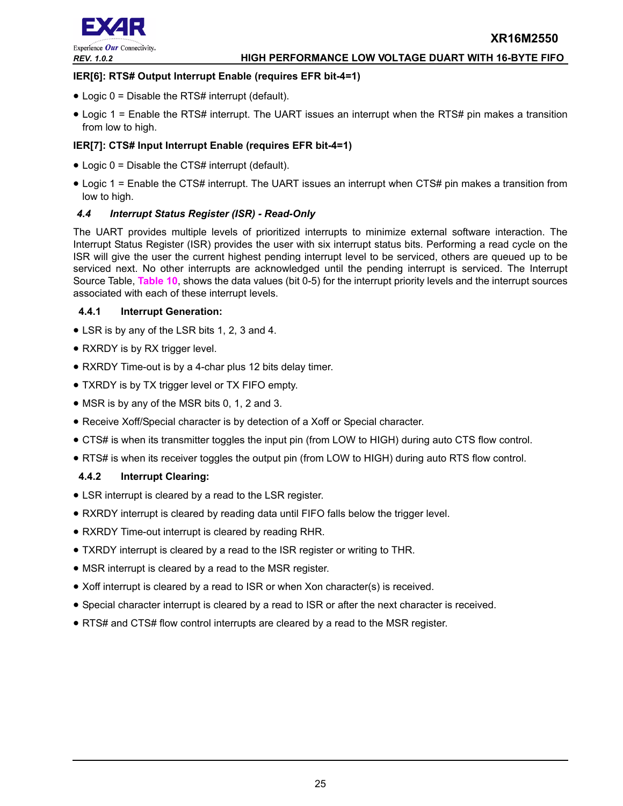

#### **IER[6]: RTS# Output Interrupt Enable (requires EFR bit-4=1)**

- Logic 0 = Disable the RTS# interrupt (default).
- Logic 1 = Enable the RTS# interrupt. The UART issues an interrupt when the RTS# pin makes a transition from low to high.

#### **IER[7]: CTS# Input Interrupt Enable (requires EFR bit-4=1)**

- Logic 0 = Disable the CTS# interrupt (default).
- Logic 1 = Enable the CTS# interrupt. The UART issues an interrupt when CTS# pin makes a transition from low to high.

#### <span id="page-24-0"></span>*4.4 Interrupt Status Register (ISR) - Read-Only*

The UART provides multiple levels of prioritized interrupts to minimize external software interaction. The Interrupt Status Register (ISR) provides the user with six interrupt status bits. Performing a read cycle on the ISR will give the user the current highest pending interrupt level to be serviced, others are queued up to be serviced next. No other interrupts are acknowledged until the pending interrupt is serviced. The Interrupt Source Table, **[Table](#page-25-0) 10**, shows the data values (bit 0-5) for the interrupt priority levels and the interrupt sources associated with each of these interrupt levels.

#### <span id="page-24-1"></span>**4.4.1 Interrupt Generation:**

- LSR is by any of the LSR bits 1, 2, 3 and 4.
- RXRDY is by RX trigger level.
- RXRDY Time-out is by a 4-char plus 12 bits delay timer.
- TXRDY is by TX trigger level or TX FIFO empty.
- MSR is by any of the MSR bits 0, 1, 2 and 3.
- Receive Xoff/Special character is by detection of a Xoff or Special character.
- CTS# is when its transmitter toggles the input pin (from LOW to HIGH) during auto CTS flow control.
- RTS# is when its receiver toggles the output pin (from LOW to HIGH) during auto RTS flow control.

#### <span id="page-24-2"></span>**4.4.2 Interrupt Clearing:**

- LSR interrupt is cleared by a read to the LSR register.
- RXRDY interrupt is cleared by reading data until FIFO falls below the trigger level.
- RXRDY Time-out interrupt is cleared by reading RHR.
- TXRDY interrupt is cleared by a read to the ISR register or writing to THR.
- MSR interrupt is cleared by a read to the MSR register.
- Xoff interrupt is cleared by a read to ISR or when Xon character(s) is received.
- Special character interrupt is cleared by a read to ISR or after the next character is received.
- RTS# and CTS# flow control interrupts are cleared by a read to the MSR register.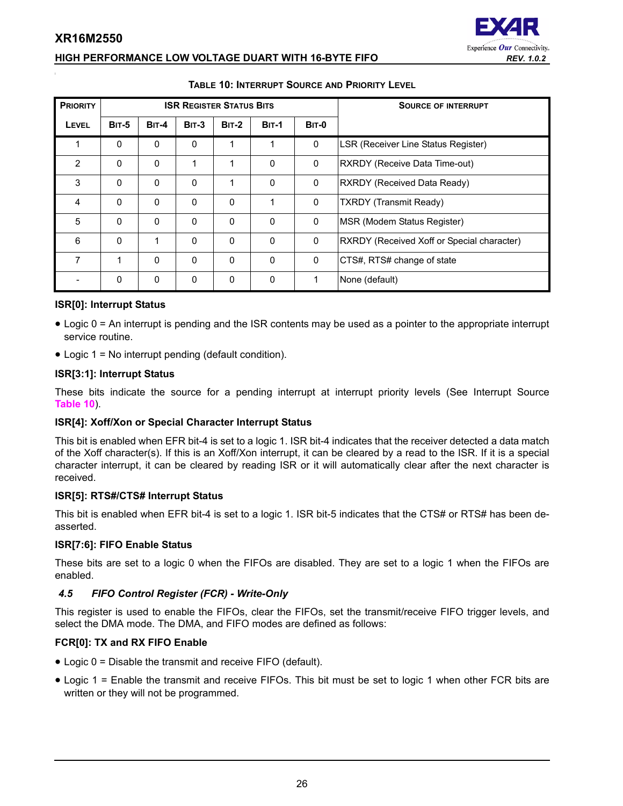# Experience Our Connectivity.

# **HIGH PERFORMANCE LOW VOLTAGE DUART WITH 16-BYTE FIFO** *REV. 1.0.2*

<span id="page-25-0"></span>

| <b>PRIORITY</b> |              |              |          | <b>ISR REGISTER STATUS BITS</b> |              | <b>SOURCE OF INTERRUPT</b> |                                            |
|-----------------|--------------|--------------|----------|---------------------------------|--------------|----------------------------|--------------------------------------------|
| <b>LEVEL</b>    | <b>BIT-5</b> | <b>BIT-4</b> | $BIT-3$  | <b>BIT-2</b>                    | <b>BIT-1</b> | <b>BIT-0</b>               |                                            |
|                 | $\mathbf{0}$ | $\Omega$     | $\Omega$ | 1                               | 1            | 0                          | LSR (Receiver Line Status Register)        |
| 2               | $\mathbf{0}$ | $\Omega$     | 1        | 1                               | $\Omega$     | $\Omega$                   | RXRDY (Receive Data Time-out)              |
| 3               | $\Omega$     | $\Omega$     | $\Omega$ | 1                               | $\mathbf{0}$ | $\Omega$                   | RXRDY (Received Data Ready)                |
| $\overline{4}$  | $\mathbf{0}$ | $\Omega$     | 0        | $\mathbf{0}$                    | 1            | $\Omega$                   | <b>TXRDY</b> (Transmit Ready)              |
| 5               | $\Omega$     | $\Omega$     | $\Omega$ | $\mathbf{0}$                    | $\Omega$     | $\Omega$                   | MSR (Modem Status Register)                |
| 6               | $\mathbf{0}$ | 1            | $\Omega$ | 0                               | $\mathbf{0}$ | $\mathbf{0}$               | RXRDY (Received Xoff or Special character) |
| 7               | 1            | $\Omega$     | 0        | 0                               | $\mathbf 0$  | 0                          | CTS#, RTS# change of state                 |
|                 | $\mathbf{0}$ | $\Omega$     | 0        | 0                               | $\Omega$     | 1                          | None (default)                             |

#### **TABLE 10: INTERRUPT SOURCE AND PRIORITY LEVEL**

#### **ISR[0]: Interrupt Status**

- Logic 0 = An interrupt is pending and the ISR contents may be used as a pointer to the appropriate interrupt service routine.
- Logic 1 = No interrupt pending (default condition).

#### **ISR[3:1]: Interrupt Status**

These bits indicate the source for a pending interrupt at interrupt priority levels (See Interrupt Source **[Table](#page-25-0) 10**).

#### **ISR[4]: Xoff/Xon or Special Character Interrupt Status**

This bit is enabled when EFR bit-4 is set to a logic 1. ISR bit-4 indicates that the receiver detected a data match of the Xoff character(s). If this is an Xoff/Xon interrupt, it can be cleared by a read to the ISR. If it is a special character interrupt, it can be cleared by reading ISR or it will automatically clear after the next character is received.

#### **ISR[5]: RTS#/CTS# Interrupt Status**

This bit is enabled when EFR bit-4 is set to a logic 1. ISR bit-5 indicates that the CTS# or RTS# has been deasserted.

#### **ISR[7:6]: FIFO Enable Status**

These bits are set to a logic 0 when the FIFOs are disabled. They are set to a logic 1 when the FIFOs are enabled.

# <span id="page-25-1"></span>*4.5 FIFO Control Register (FCR) - Write-Only*

This register is used to enable the FIFOs, clear the FIFOs, set the transmit/receive FIFO trigger levels, and select the DMA mode. The DMA, and FIFO modes are defined as follows:

# **FCR[0]: TX and RX FIFO Enable**

- Logic 0 = Disable the transmit and receive FIFO (default).
- Logic 1 = Enable the transmit and receive FIFOs. This bit must be set to logic 1 when other FCR bits are written or they will not be programmed.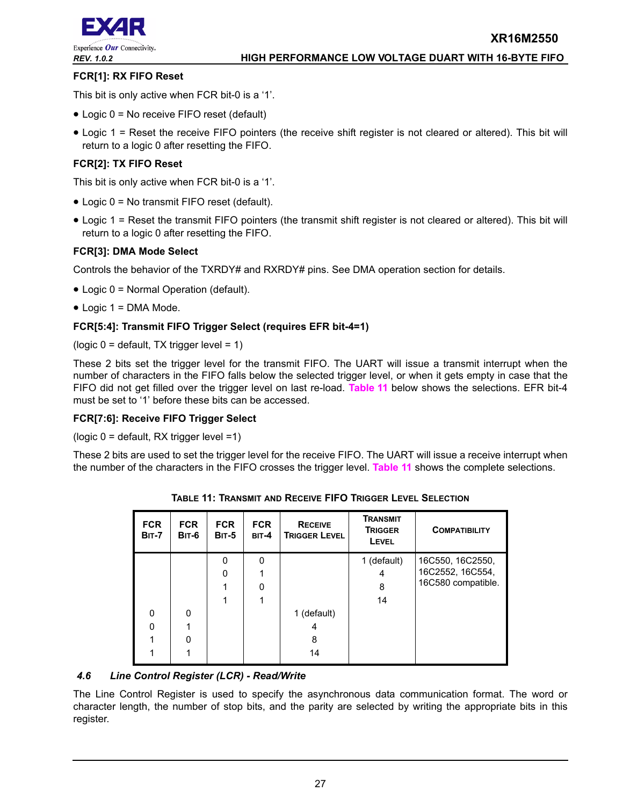

#### **FCR[1]: RX FIFO Reset**

This bit is only active when FCR bit-0 is a '1'.

- Logic 0 = No receive FIFO reset (default)
- Logic 1 = Reset the receive FIFO pointers (the receive shift register is not cleared or altered). This bit will return to a logic 0 after resetting the FIFO.

#### **FCR[2]: TX FIFO Reset**

This bit is only active when FCR bit-0 is a '1'.

- Logic 0 = No transmit FIFO reset (default).
- Logic 1 = Reset the transmit FIFO pointers (the transmit shift register is not cleared or altered). This bit will return to a logic 0 after resetting the FIFO.

#### **FCR[3]: DMA Mode Select**

Controls the behavior of the TXRDY# and RXRDY# pins. See DMA operation section for details.

- Logic 0 = Normal Operation (default).
- Logic 1 = DMA Mode.

#### **FCR[5:4]: Transmit FIFO Trigger Select (requires EFR bit-4=1)**

(logic  $0 =$  default, TX trigger level = 1)

These 2 bits set the trigger level for the transmit FIFO. The UART will issue a transmit interrupt when the number of characters in the FIFO falls below the selected trigger level, or when it gets empty in case that the FIFO did not get filled over the trigger level on last re-load. **[Table](#page-26-0) 11** below shows the selections. EFR bit-4 must be set to '1' before these bits can be accessed.

#### **FCR[7:6]: Receive FIFO Trigger Select**

(logic 0 = default, RX trigger level =1)

<span id="page-26-0"></span>These 2 bits are used to set the trigger level for the receive FIFO. The UART will issue a receive interrupt when the number of the characters in the FIFO crosses the trigger level. **[Table](#page-26-0) 11** shows the complete selections.

| <b>FCR</b><br><b>BIT-7</b> | <b>FCR</b><br>BIT-6 | <b>FCR</b><br><b>BIT-5</b> | <b>FCR</b><br>BIT-4 | <b>RECEIVE</b><br><b>TRIGGER LEVEL</b> | <b>TRANSMIT</b><br><b>TRIGGER</b><br>LEVEL | <b>COMPATIBILITY</b> |
|----------------------------|---------------------|----------------------------|---------------------|----------------------------------------|--------------------------------------------|----------------------|
|                            |                     | $\Omega$                   | $\mathbf 0$         |                                        | 1 (default)                                | 16C550, 16C2550,     |
|                            |                     | $\Omega$                   |                     |                                        | 4                                          | 16C2552, 16C554,     |
|                            |                     |                            | 0                   |                                        | 8                                          | 16C580 compatible.   |
|                            |                     |                            |                     |                                        | 14                                         |                      |
| $\mathbf 0$                | 0                   |                            |                     | 1 (default)                            |                                            |                      |
| $\mathbf 0$                |                     |                            |                     | 4                                      |                                            |                      |
|                            | 0                   |                            |                     | 8                                      |                                            |                      |
|                            |                     |                            |                     | 14                                     |                                            |                      |

**TABLE 11: TRANSMIT AND RECEIVE FIFO TRIGGER LEVEL SELECTION**

# <span id="page-26-1"></span>*4.6 Line Control Register (LCR) - Read/Write*

The Line Control Register is used to specify the asynchronous data communication format. The word or character length, the number of stop bits, and the parity are selected by writing the appropriate bits in this register.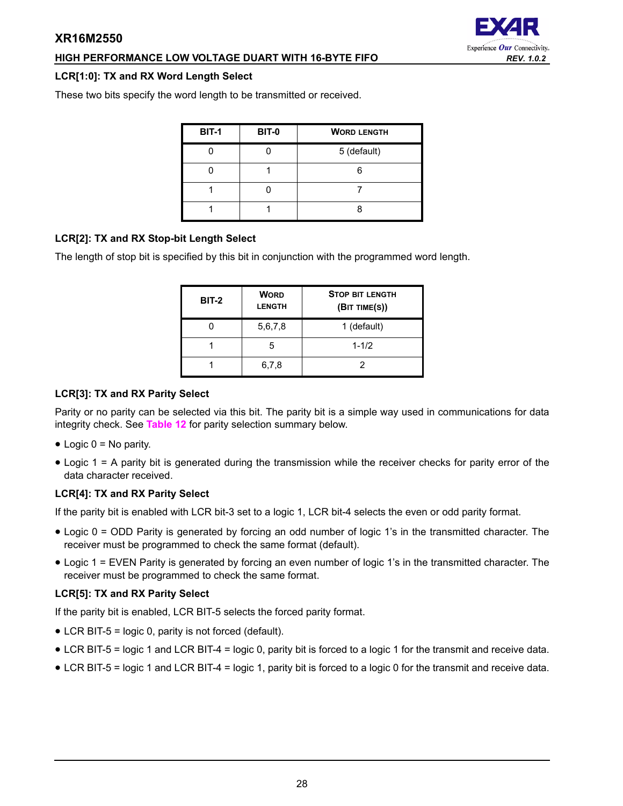# **HIGH PERFORMANCE LOW VOLTAGE DUART WITH 16-BYTE FIFO** *REV. 1.0.2*

#### **LCR[1:0]: TX and RX Word Length Select**

These two bits specify the word length to be transmitted or received.

| <b>BIT-1</b> | <b>BIT-0</b> | <b>WORD LENGTH</b> |
|--------------|--------------|--------------------|
|              |              | 5 (default)        |
|              |              |                    |
|              |              |                    |
|              |              |                    |

# **LCR[2]: TX and RX Stop-bit Length Select**

The length of stop bit is specified by this bit in conjunction with the programmed word length.

| <b>BIT-2</b> | <b>WORD</b><br><b>LENGTH</b> | <b>STOP BIT LENGTH</b><br>(BIT TIME(S)) |
|--------------|------------------------------|-----------------------------------------|
|              | 5,6,7,8                      | 1 (default)                             |
|              | 5                            | $1 - 1/2$                               |
|              | 6,7,8                        | 2                                       |

# **LCR[3]: TX and RX Parity Select**

Parity or no parity can be selected via this bit. The parity bit is a simple way used in communications for data integrity check. See **[Table](#page-28-0) 12** for parity selection summary below.

- $\bullet$  Logic 0 = No parity.
- Logic 1 = A parity bit is generated during the transmission while the receiver checks for parity error of the data character received.

# **LCR[4]: TX and RX Parity Select**

If the parity bit is enabled with LCR bit-3 set to a logic 1, LCR bit-4 selects the even or odd parity format.

- Logic 0 = ODD Parity is generated by forcing an odd number of logic 1's in the transmitted character. The receiver must be programmed to check the same format (default).
- Logic 1 = EVEN Parity is generated by forcing an even number of logic 1's in the transmitted character. The receiver must be programmed to check the same format.

# **LCR[5]: TX and RX Parity Select**

If the parity bit is enabled, LCR BIT-5 selects the forced parity format.

- LCR BIT-5 = logic 0, parity is not forced (default).
- LCR BIT-5 = logic 1 and LCR BIT-4 = logic 0, parity bit is forced to a logic 1 for the transmit and receive data.
- LCR BIT-5 = logic 1 and LCR BIT-4 = logic 1, parity bit is forced to a logic 0 for the transmit and receive data.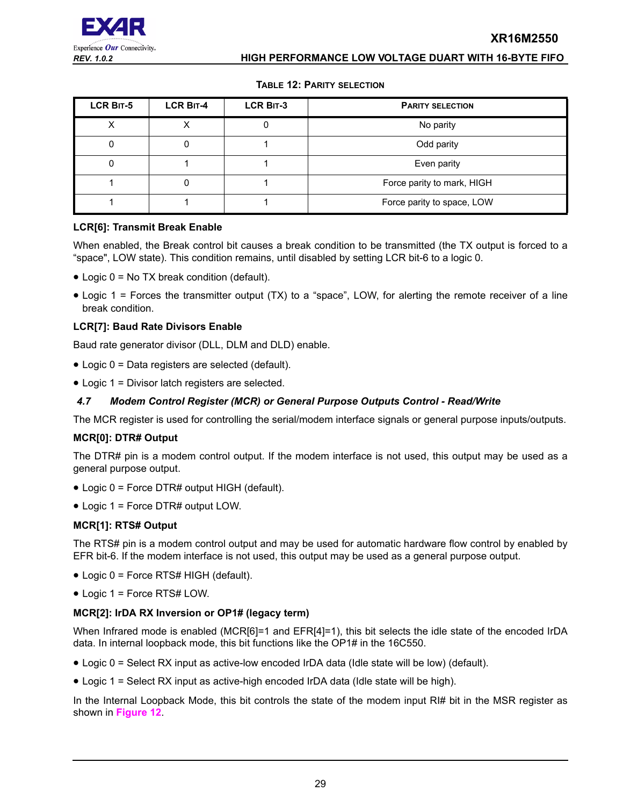#### **TABLE 12: PARITY SELECTION**

<span id="page-28-0"></span>

| LCR BIT-5 | <b>LCR BIT-4</b> | <b>LCR BIT-3</b> | <b>PARITY SELECTION</b>    |
|-----------|------------------|------------------|----------------------------|
|           |                  |                  | No parity                  |
|           |                  |                  | Odd parity                 |
|           |                  |                  | Even parity                |
|           |                  |                  | Force parity to mark, HIGH |
|           |                  |                  | Force parity to space, LOW |

#### **LCR[6]: Transmit Break Enable**

When enabled, the Break control bit causes a break condition to be transmitted (the TX output is forced to a "space", LOW state). This condition remains, until disabled by setting LCR bit-6 to a logic 0.

- Logic 0 = No TX break condition (default).
- Logic 1 = Forces the transmitter output (TX) to a "space", LOW, for alerting the remote receiver of a line break condition.

#### **LCR[7]: Baud Rate Divisors Enable**

Baud rate generator divisor (DLL, DLM and DLD) enable.

- Logic 0 = Data registers are selected (default).
- Logic 1 = Divisor latch registers are selected.

#### <span id="page-28-1"></span>*4.7 Modem Control Register (MCR) or General Purpose Outputs Control - Read/Write*

The MCR register is used for controlling the serial/modem interface signals or general purpose inputs/outputs.

#### **MCR[0]: DTR# Output**

The DTR# pin is a modem control output. If the modem interface is not used, this output may be used as a general purpose output.

- Logic 0 = Force DTR# output HIGH (default).
- Logic 1 = Force DTR# output LOW.

#### **MCR[1]: RTS# Output**

The RTS# pin is a modem control output and may be used for automatic hardware flow control by enabled by EFR bit-6. If the modem interface is not used, this output may be used as a general purpose output.

- Logic 0 = Force RTS# HIGH (default).
- Logic 1 = Force RTS# LOW.

#### **MCR[2]: IrDA RX Inversion or OP1# (legacy term)**

When Infrared mode is enabled (MCR[6]=1 and EFR[4]=1), this bit selects the idle state of the encoded IrDA data. In internal loopback mode, this bit functions like the OP1# in the 16C550.

- Logic 0 = Select RX input as active-low encoded IrDA data (Idle state will be low) (default).
- Logic 1 = Select RX input as active-high encoded IrDA data (Idle state will be high).

In the Internal Loopback Mode, this bit controls the state of the modem input RI# bit in the MSR register as shown in **[Figure](#page-19-0) 12**.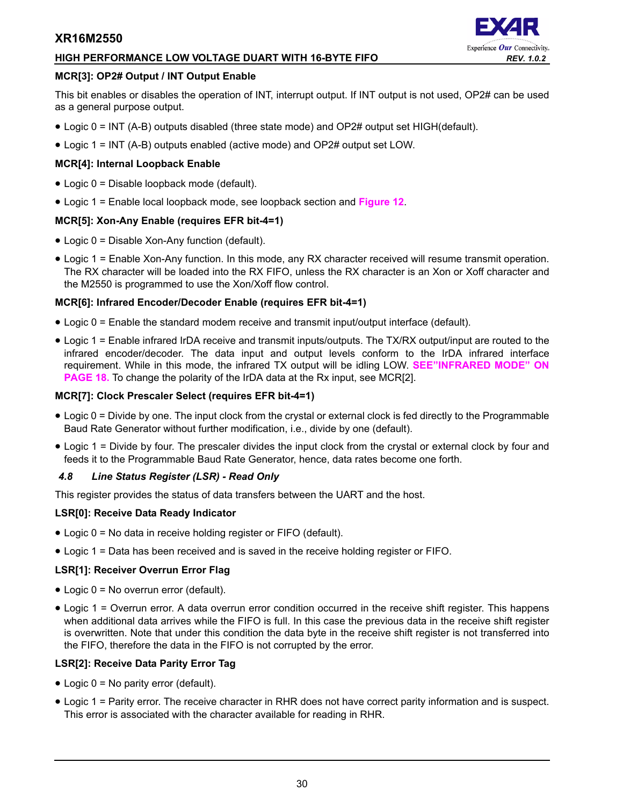# **HIGH PERFORMANCE LOW VOLTAGE DUART WITH 16-BYTE FIFO** *REV. 1.0.2*

#### **MCR[3]: OP2# Output / INT Output Enable**

This bit enables or disables the operation of INT, interrupt output. If INT output is not used, OP2# can be used as a general purpose output.

- Logic 0 = INT (A-B) outputs disabled (three state mode) and OP2# output set HIGH(default).
- Logic 1 = INT (A-B) outputs enabled (active mode) and OP2# output set LOW.

#### **MCR[4]: Internal Loopback Enable**

- Logic 0 = Disable loopback mode (default).
- Logic 1 = Enable local loopback mode, see loopback section and **[Figure](#page-19-0) 12**.

#### **MCR[5]: Xon-Any Enable (requires EFR bit-4=1)**

- Logic 0 = Disable Xon-Any function (default).
- Logic 1 = Enable Xon-Any function. In this mode, any RX character received will resume transmit operation. The RX character will be loaded into the RX FIFO, unless the RX character is an Xon or Xoff character and the M2550 is programmed to use the Xon/Xoff flow control.

#### **MCR[6]: Infrared Encoder/Decoder Enable (requires EFR bit-4=1)**

- Logic 0 = Enable the standard modem receive and transmit input/output interface (default).
- Logic 1 = Enable infrared IrDA receive and transmit inputs/outputs. The TX/RX output/input are routed to the infrared encoder/decoder. The data input and output levels conform to the IrDA infrared interface requirement. While in this mode, the infrared TX output will be idling LOW. **[SEE"INFRARED MODE" ON](#page-17-1)  [PAGE](#page-17-1) 18.** To change the polarity of the IrDA data at the Rx input, see MCR[2].

#### **MCR[7]: Clock Prescaler Select (requires EFR bit-4=1)**

- Logic 0 = Divide by one. The input clock from the crystal or external clock is fed directly to the Programmable Baud Rate Generator without further modification, i.e., divide by one (default).
- Logic 1 = Divide by four. The prescaler divides the input clock from the crystal or external clock by four and feeds it to the Programmable Baud Rate Generator, hence, data rates become one forth.

#### <span id="page-29-0"></span>*4.8 Line Status Register (LSR) - Read Only*

This register provides the status of data transfers between the UART and the host.

#### **LSR[0]: Receive Data Ready Indicator**

- Logic 0 = No data in receive holding register or FIFO (default).
- Logic 1 = Data has been received and is saved in the receive holding register or FIFO.

#### **LSR[1]: Receiver Overrun Error Flag**

- Logic 0 = No overrun error (default).
- Logic 1 = Overrun error. A data overrun error condition occurred in the receive shift register. This happens when additional data arrives while the FIFO is full. In this case the previous data in the receive shift register is overwritten. Note that under this condition the data byte in the receive shift register is not transferred into the FIFO, therefore the data in the FIFO is not corrupted by the error.

# **LSR[2]: Receive Data Parity Error Tag**

- Logic 0 = No parity error (default).
- Logic 1 = Parity error. The receive character in RHR does not have correct parity information and is suspect. This error is associated with the character available for reading in RHR.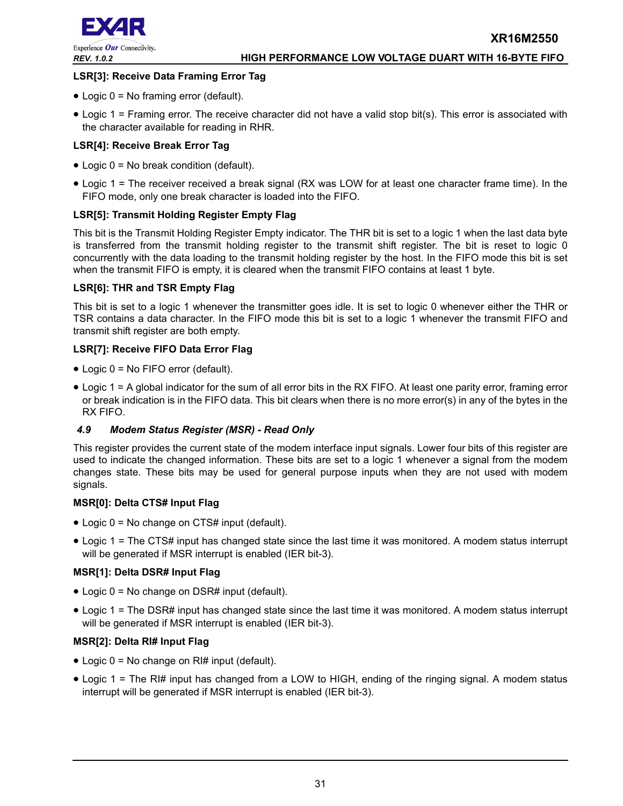

# **LSR[3]: Receive Data Framing Error Tag**

- Logic 0 = No framing error (default).
- Logic 1 = Framing error. The receive character did not have a valid stop bit(s). This error is associated with the character available for reading in RHR.

#### **LSR[4]: Receive Break Error Tag**

- Logic 0 = No break condition (default).
- Logic 1 = The receiver received a break signal (RX was LOW for at least one character frame time). In the FIFO mode, only one break character is loaded into the FIFO.

#### **LSR[5]: Transmit Holding Register Empty Flag**

This bit is the Transmit Holding Register Empty indicator. The THR bit is set to a logic 1 when the last data byte is transferred from the transmit holding register to the transmit shift register. The bit is reset to logic 0 concurrently with the data loading to the transmit holding register by the host. In the FIFO mode this bit is set when the transmit FIFO is empty, it is cleared when the transmit FIFO contains at least 1 byte.

#### **LSR[6]: THR and TSR Empty Flag**

This bit is set to a logic 1 whenever the transmitter goes idle. It is set to logic 0 whenever either the THR or TSR contains a data character. In the FIFO mode this bit is set to a logic 1 whenever the transmit FIFO and transmit shift register are both empty.

#### **LSR[7]: Receive FIFO Data Error Flag**

- Logic 0 = No FIFO error (default).
- Logic 1 = A global indicator for the sum of all error bits in the RX FIFO. At least one parity error, framing error or break indication is in the FIFO data. This bit clears when there is no more error(s) in any of the bytes in the RX FIFO.

# <span id="page-30-0"></span>*4.9 Modem Status Register (MSR) - Read Only*

This register provides the current state of the modem interface input signals. Lower four bits of this register are used to indicate the changed information. These bits are set to a logic 1 whenever a signal from the modem changes state. These bits may be used for general purpose inputs when they are not used with modem signals.

#### **MSR[0]: Delta CTS# Input Flag**

- Logic 0 = No change on CTS# input (default).
- Logic 1 = The CTS# input has changed state since the last time it was monitored. A modem status interrupt will be generated if MSR interrupt is enabled (IER bit-3).

# **MSR[1]: Delta DSR# Input Flag**

- Logic 0 = No change on DSR# input (default).
- Logic 1 = The DSR# input has changed state since the last time it was monitored. A modem status interrupt will be generated if MSR interrupt is enabled (IER bit-3).

# **MSR[2]: Delta RI# Input Flag**

- Logic 0 = No change on RI# input (default).
- Logic 1 = The RI# input has changed from a LOW to HIGH, ending of the ringing signal. A modem status interrupt will be generated if MSR interrupt is enabled (IER bit-3).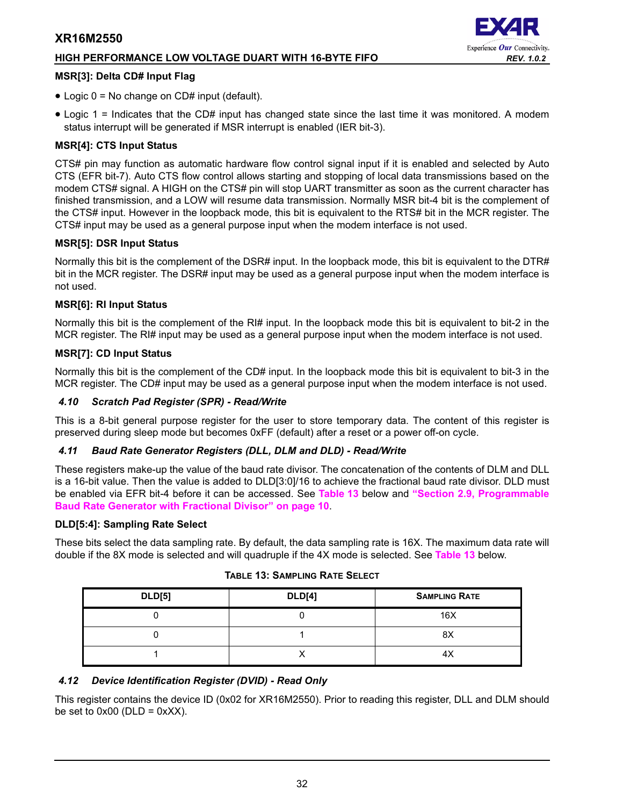# **HIGH PERFORMANCE LOW VOLTAGE DUART WITH 16-BYTE FIFO** *REV. 1.0.2*



#### **MSR[3]: Delta CD# Input Flag**

- Logic 0 = No change on CD# input (default).
- Logic 1 = Indicates that the CD# input has changed state since the last time it was monitored. A modem status interrupt will be generated if MSR interrupt is enabled (IER bit-3).

# **MSR[4]: CTS Input Status**

CTS# pin may function as automatic hardware flow control signal input if it is enabled and selected by Auto CTS (EFR bit-7). Auto CTS flow control allows starting and stopping of local data transmissions based on the modem CTS# signal. A HIGH on the CTS# pin will stop UART transmitter as soon as the current character has finished transmission, and a LOW will resume data transmission. Normally MSR bit-4 bit is the complement of the CTS# input. However in the loopback mode, this bit is equivalent to the RTS# bit in the MCR register. The CTS# input may be used as a general purpose input when the modem interface is not used.

# **MSR[5]: DSR Input Status**

Normally this bit is the complement of the DSR# input. In the loopback mode, this bit is equivalent to the DTR# bit in the MCR register. The DSR# input may be used as a general purpose input when the modem interface is not used.

#### **MSR[6]: RI Input Status**

Normally this bit is the complement of the RI# input. In the loopback mode this bit is equivalent to bit-2 in the MCR register. The RI# input may be used as a general purpose input when the modem interface is not used.

#### **MSR[7]: CD Input Status**

Normally this bit is the complement of the CD# input. In the loopback mode this bit is equivalent to bit-3 in the MCR register. The CD# input may be used as a general purpose input when the modem interface is not used.

#### <span id="page-31-1"></span>*4.10 Scratch Pad Register (SPR) - Read/Write*

This is a 8-bit general purpose register for the user to store temporary data. The content of this register is preserved during sleep mode but becomes 0xFF (default) after a reset or a power off-on cycle.

# <span id="page-31-2"></span>*4.11 Baud Rate Generator Registers (DLL, DLM and DLD) - Read/Write*

These registers make-up the value of the baud rate divisor. The concatenation of the contents of DLM and DLL is a 16-bit value. Then the value is added to DLD[3:0]/16 to achieve the fractional baud rate divisor. DLD must be enabled via EFR bit-4 before it can be accessed. See **[Table](#page-31-0) 13** below and **["Section 2.9, Programmable](#page-9-0)  [Baud Rate Generator with Fractional Divisor" on page](#page-9-0) 10**.

#### **DLD[5:4]: Sampling Rate Select**

<span id="page-31-0"></span>These bits select the data sampling rate. By default, the data sampling rate is 16X. The maximum data rate will double if the 8X mode is selected and will quadruple if the 4X mode is selected. See **[Table](#page-31-0) 13** below.

| <b>DLD[5]</b> | <b>DLD[4]</b> | <b>SAMPLING RATE</b> |
|---------------|---------------|----------------------|
|               |               | 16X                  |
|               |               | 8X                   |
|               |               | 4X                   |

#### **TABLE 13: SAMPLING RATE SELECT**

# <span id="page-31-3"></span>*4.12 Device Identification Register (DVID) - Read Only*

This register contains the device ID (0x02 for XR16M2550). Prior to reading this register, DLL and DLM should be set to  $0x00$  (DLD =  $0xXX$ ).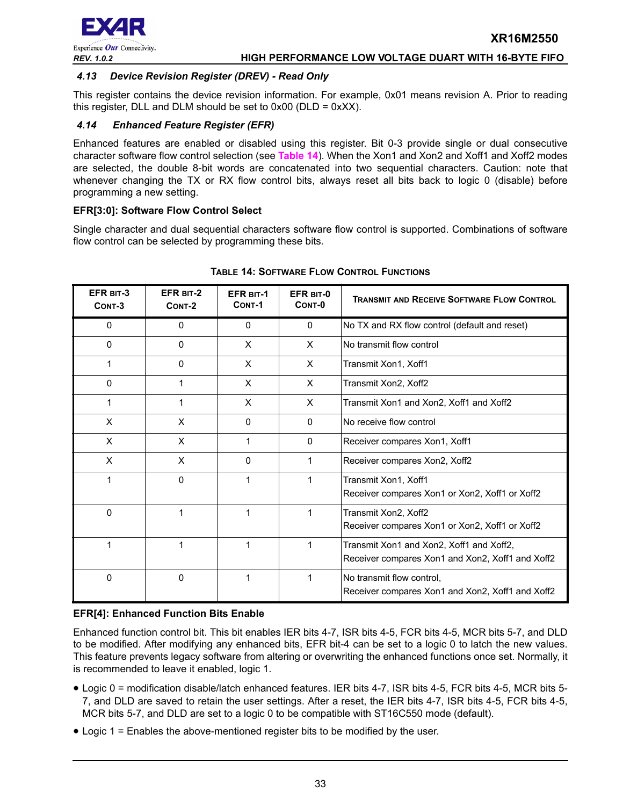

# <span id="page-32-1"></span>*4.13 Device Revision Register (DREV) - Read Only*

This register contains the device revision information. For example, 0x01 means revision A. Prior to reading this register, DLL and DLM should be set to  $0x00$  (DLD =  $0xXX$ ).

# <span id="page-32-2"></span>*4.14 Enhanced Feature Register (EFR)*

Enhanced features are enabled or disabled using this register. Bit 0-3 provide single or dual consecutive character software flow control selection (see **[Table](#page-32-0) 14**). When the Xon1 and Xon2 and Xoff1 and Xoff2 modes are selected, the double 8-bit words are concatenated into two sequential characters. Caution: note that whenever changing the TX or RX flow control bits, always reset all bits back to logic 0 (disable) before programming a new setting.

#### **EFR[3:0]: Software Flow Control Select**

Single character and dual sequential characters software flow control is supported. Combinations of software flow control can be selected by programming these bits.

<span id="page-32-0"></span>

| EFR BIT-3<br>CONT-3 | EFR BIT-2<br>CONT-2 | <b>EFR BIT-1</b><br>CONT-1 | EFR BIT-0<br>CONT-0 | <b>TRANSMIT AND RECEIVE SOFTWARE FLOW CONTROL</b>                                            |
|---------------------|---------------------|----------------------------|---------------------|----------------------------------------------------------------------------------------------|
| $\mathbf{0}$        | 0                   | $\mathbf{0}$               | $\mathbf{0}$        | No TX and RX flow control (default and reset)                                                |
| $\mathbf{0}$        | $\Omega$            | X                          | $\times$            | No transmit flow control                                                                     |
| 1                   | $\Omega$            | X                          | $\mathsf{x}$        | Transmit Xon1, Xoff1                                                                         |
| $\Omega$            | 1                   | X                          | $\times$            | Transmit Xon2, Xoff2                                                                         |
|                     | 1                   | X                          | $\times$            | Transmit Xon1 and Xon2, Xoff1 and Xoff2                                                      |
| X                   | X                   | $\mathbf{0}$               | $\mathbf{0}$        | No receive flow control                                                                      |
| X                   | X                   | 1                          | $\mathbf{0}$        | Receiver compares Xon1, Xoff1                                                                |
| X                   | X                   | $\Omega$                   | 1                   | Receiver compares Xon2, Xoff2                                                                |
| 1                   | 0                   | 1                          | 1                   | Transmit Xon1, Xoff1<br>Receiver compares Xon1 or Xon2, Xoff1 or Xoff2                       |
| 0                   | 1                   | 1                          | 1                   | Transmit Xon2, Xoff2<br>Receiver compares Xon1 or Xon2, Xoff1 or Xoff2                       |
|                     | 1                   | 1                          | 1                   | Transmit Xon1 and Xon2, Xoff1 and Xoff2,<br>Receiver compares Xon1 and Xon2, Xoff1 and Xoff2 |
| $\mathbf{0}$        | 0                   | 1                          | 1                   | No transmit flow control,<br>Receiver compares Xon1 and Xon2, Xoff1 and Xoff2                |

#### **TABLE 14: SOFTWARE FLOW CONTROL FUNCTIONS**

#### **EFR[4]: Enhanced Function Bits Enable**

Enhanced function control bit. This bit enables IER bits 4-7, ISR bits 4-5, FCR bits 4-5, MCR bits 5-7, and DLD to be modified. After modifying any enhanced bits, EFR bit-4 can be set to a logic 0 to latch the new values. This feature prevents legacy software from altering or overwriting the enhanced functions once set. Normally, it is recommended to leave it enabled, logic 1.

- Logic 0 = modification disable/latch enhanced features. IER bits 4-7, ISR bits 4-5, FCR bits 4-5, MCR bits 5- 7, and DLD are saved to retain the user settings. After a reset, the IER bits 4-7, ISR bits 4-5, FCR bits 4-5, MCR bits 5-7, and DLD are set to a logic 0 to be compatible with ST16C550 mode (default).
- Logic 1 = Enables the above-mentioned register bits to be modified by the user.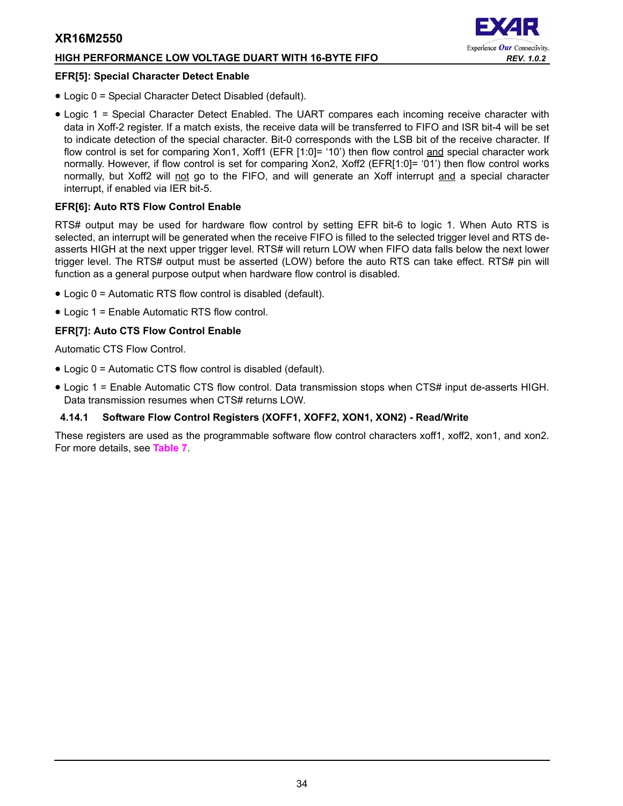# **HIGH PERFORMANCE LOW VOLTAGE DUART WITH 16-BYTE FIFO** *REV. 1.0.2*

#### **EFR[5]: Special Character Detect Enable**

• Logic 0 = Special Character Detect Disabled (default).



• Logic 1 = Special Character Detect Enabled. The UART compares each incoming receive character with data in Xoff-2 register. If a match exists, the receive data will be transferred to FIFO and ISR bit-4 will be set to indicate detection of the special character. Bit-0 corresponds with the LSB bit of the receive character. If flow control is set for comparing Xon1, Xoff1 (EFR [1:0]= '10') then flow control and special character work normally. However, if flow control is set for comparing Xon2, Xoff2 (EFR[1:0]= '01') then flow control works normally, but Xoff2 will not go to the FIFO, and will generate an Xoff interrupt and a special character interrupt, if enabled via IER bit-5.

#### **EFR[6]: Auto RTS Flow Control Enable**

RTS# output may be used for hardware flow control by setting EFR bit-6 to logic 1. When Auto RTS is selected, an interrupt will be generated when the receive FIFO is filled to the selected trigger level and RTS deasserts HIGH at the next upper trigger level. RTS# will return LOW when FIFO data falls below the next lower trigger level. The RTS# output must be asserted (LOW) before the auto RTS can take effect. RTS# pin will function as a general purpose output when hardware flow control is disabled.

- Logic 0 = Automatic RTS flow control is disabled (default).
- Logic 1 = Enable Automatic RTS flow control.

#### **EFR[7]: Auto CTS Flow Control Enable**

Automatic CTS Flow Control.

- Logic 0 = Automatic CTS flow control is disabled (default).
- Logic 1 = Enable Automatic CTS flow control. Data transmission stops when CTS# input de-asserts HIGH. Data transmission resumes when CTS# returns LOW.

# <span id="page-33-0"></span>**4.14.1 Software Flow Control Registers (XOFF1, XOFF2, XON1, XON2) - Read/Write**

These registers are used as the programmable software flow control characters xoff1, xoff2, xon1, and xon2. For more details, see **[Table](#page-16-0) 7**.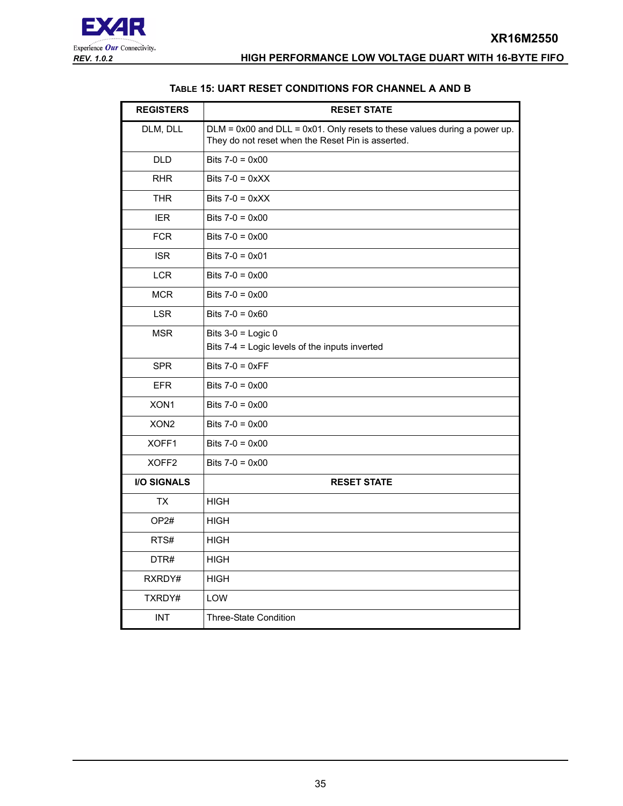#### **TABLE 15: UART RESET CONDITIONS FOR CHANNEL A AND B**

<span id="page-34-0"></span>

| <b>REGISTERS</b>   | <b>RESET STATE</b>                                                                                                                  |
|--------------------|-------------------------------------------------------------------------------------------------------------------------------------|
| DLM, DLL           | $DLM = 0x00$ and $DLL = 0x01$ . Only resets to these values during a power up.<br>They do not reset when the Reset Pin is asserted. |
| <b>DLD</b>         | Bits $7-0 = 0 \times 00$                                                                                                            |
| <b>RHR</b>         | Bits $7-0 = 0 \times XX$                                                                                                            |
| <b>THR</b>         | Bits $7-0 = 0 \times X$                                                                                                             |
| <b>IER</b>         | Bits $7-0 = 0 \times 00$                                                                                                            |
| <b>FCR</b>         | Bits $7-0 = 0 \times 00$                                                                                                            |
| <b>ISR</b>         | Bits $7-0 = 0 \times 01$                                                                                                            |
| <b>LCR</b>         | Bits $7-0 = 0 \times 00$                                                                                                            |
| <b>MCR</b>         | Bits $7-0 = 0 \times 00$                                                                                                            |
| <b>LSR</b>         | Bits $7-0 = 0 \times 60$                                                                                                            |
| <b>MSR</b>         | Bits $3-0$ = Logic 0<br>Bits 7-4 = Logic levels of the inputs inverted                                                              |
| <b>SPR</b>         | Bits $7-0 = 0 \times FF$                                                                                                            |
| <b>EFR</b>         | Bits $7-0 = 0 \times 00$                                                                                                            |
| XON1               | Bits $7-0 = 0 \times 00$                                                                                                            |
| XON <sub>2</sub>   | Bits $7-0 = 0 \times 00$                                                                                                            |
| XOFF1              | Bits $7-0 = 0 \times 00$                                                                                                            |
| XOFF2              | Bits $7-0 = 0 \times 00$                                                                                                            |
| <b>I/O SIGNALS</b> | <b>RESET STATE</b>                                                                                                                  |
| TX                 | <b>HIGH</b>                                                                                                                         |
| OP2#               | <b>HIGH</b>                                                                                                                         |
| RTS#               | <b>HIGH</b>                                                                                                                         |
| DTR#               | <b>HIGH</b>                                                                                                                         |
| RXRDY#             | <b>HIGH</b>                                                                                                                         |
| TXRDY#             | LOW                                                                                                                                 |
| <b>INT</b>         | <b>Three-State Condition</b>                                                                                                        |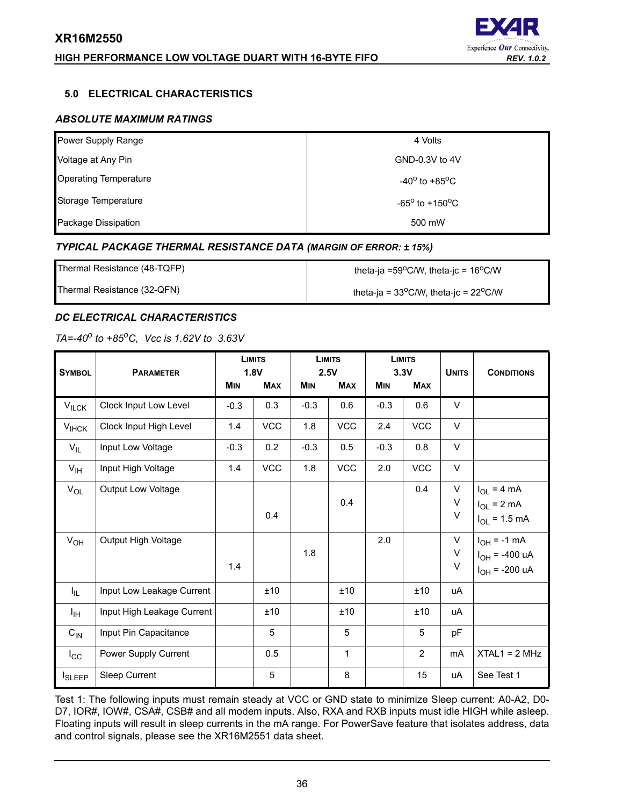# **HIGH PERFORMANCE LOW VOLTAGE DUART WITH 16-BYTE FIFO** *REV. 1.0.2*



#### <span id="page-35-1"></span>**5.0 ELECTRICAL CHARACTERISTICS**

# <span id="page-35-2"></span>*ABSOLUTE MAXIMUM RATINGS*

| Power Supply Range           | 4 Volts                           |
|------------------------------|-----------------------------------|
| Voltage at Any Pin           | GND-0.3V to 4V                    |
| <b>Operating Temperature</b> | $-40^{\circ}$ to $+85^{\circ}$ C  |
| Storage Temperature          | $-65^{\circ}$ to $+150^{\circ}$ C |
| Package Dissipation          | 500 mW                            |

#### <span id="page-35-3"></span>*TYPICAL PACKAGE THERMAL RESISTANCE DATA (MARGIN OF ERROR: ± 15%)*

| Thermal Resistance (48-TQFP) | theta-ja =59 $^{\circ}$ C/W, theta-jc = 16 $^{\circ}$ C/W |
|------------------------------|-----------------------------------------------------------|
| Thermal Resistance (32-QFN)  | theta-ja = $33^{\circ}$ C/W, theta-jc = $22^{\circ}$ C/W  |

# <span id="page-35-0"></span>*DC ELECTRICAL CHARACTERISTICS*

# *TA=-40o to +85oC, Vcc is 1.62V to 3.63V*

|                 |                            | <b>LIMITS</b><br><b>LIMITS</b><br>1.8V<br>2.5V |            |            | <b>LIMITS</b><br>3.3V |            |                |                  |                                                              |
|-----------------|----------------------------|------------------------------------------------|------------|------------|-----------------------|------------|----------------|------------------|--------------------------------------------------------------|
| <b>SYMBOL</b>   | <b>PARAMETER</b>           | <b>MIN</b>                                     | <b>MAX</b> | <b>MIN</b> | <b>MAX</b>            | <b>MIN</b> | <b>MAX</b>     | <b>UNITS</b>     | <b>CONDITIONS</b>                                            |
| $V_{ILCK}$      | Clock Input Low Level      | $-0.3$                                         | 0.3        | $-0.3$     | 0.6                   | $-0.3$     | 0.6            | $\vee$           |                                                              |
| $V_{IHCK}$      | Clock Input High Level     | 1.4                                            | <b>VCC</b> | 1.8        | <b>VCC</b>            | 2.4        | <b>VCC</b>     | $\vee$           |                                                              |
| $V_{IL}$        | Input Low Voltage          | $-0.3$                                         | 0.2        | $-0.3$     | 0.5                   | $-0.3$     | 0.8            | $\vee$           |                                                              |
| $V_{\text{IH}}$ | Input High Voltage         | 1.4                                            | <b>VCC</b> | 1.8        | <b>VCC</b>            | 2.0        | <b>VCC</b>     | V                |                                                              |
| $V_{OL}$        | Output Low Voltage         |                                                | 0.4        |            | 0.4                   |            | 0.4            | V<br>V<br>$\vee$ | $I_{OL}$ = 4 mA<br>$I_{OL}$ = 2 mA<br>$I_{OL} = 1.5$ mA      |
| $V_{OH}$        | Output High Voltage        | 1.4                                            |            | 1.8        |                       | 2.0        |                | V<br>V<br>$\vee$ | $I_{OH} = -1$ mA<br>$I_{OH}$ = -400 uA<br>$I_{OH}$ = -200 uA |
| Ι'n.            | Input Low Leakage Current  |                                                | ±10        |            | ±10                   |            | ±10            | uA               |                                                              |
| I <sub>IH</sub> | Input High Leakage Current |                                                | ±10        |            | ±10                   |            | ±10            | uA               |                                                              |
| $C_{IN}$        | Input Pin Capacitance      |                                                | 5          |            | 5                     |            | 5              | pF               |                                                              |
| $I_{\rm CC}$    | Power Supply Current       |                                                | 0.5        |            | $\mathbf{1}$          |            | $\overline{2}$ | m <sub>A</sub>   | $XTAL1 = 2 MHz$                                              |
| <b>I</b> SLEEP  | Sleep Current              |                                                | 5          |            | 8                     |            | 15             | uA               | See Test 1                                                   |

Test 1: The following inputs must remain steady at VCC or GND state to minimize Sleep current: A0-A2, D0- D7, IOR#, IOW#, CSA#, CSB# and all modem inputs. Also, RXA and RXB inputs must idle HIGH while asleep. Floating inputs will result in sleep currents in the mA range. For PowerSave feature that isolates address, data and control signals, please see the XR16M2551 data sheet.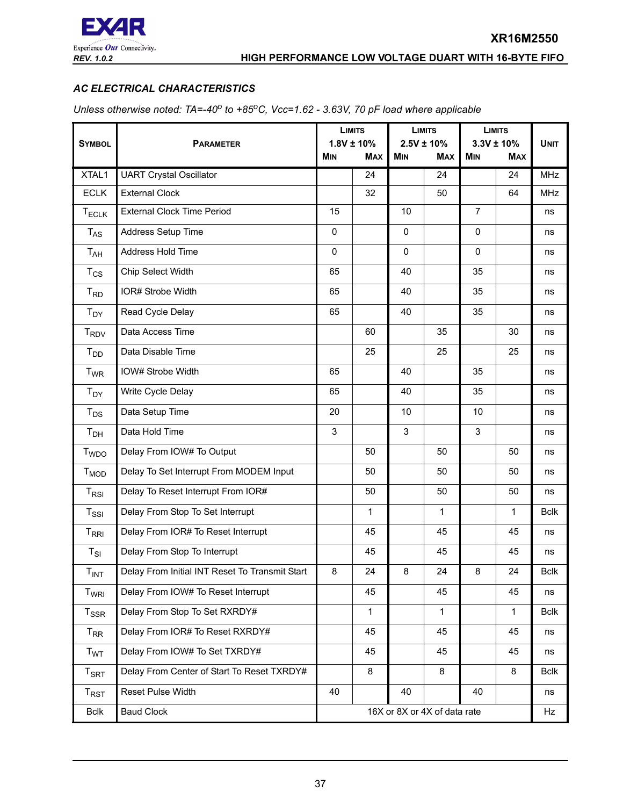

# <span id="page-36-0"></span>*AC ELECTRICAL CHARACTERISTICS*

*Unless otherwise noted: TA=-40<sup>o</sup> to +85<sup>o</sup>C, Vcc=1.62 - 3.63V, 70 pF load where applicable* 

|                             |                                                | <b>LIMITS</b><br>$1.8V \pm 10\%$ |            | <b>LIMITS</b> |                               | <b>LIMITS</b>                |            |             |
|-----------------------------|------------------------------------------------|----------------------------------|------------|---------------|-------------------------------|------------------------------|------------|-------------|
| <b>SYMBOL</b>               | <b>PARAMETER</b>                               |                                  | <b>MAX</b> | <b>MIN</b>    | $2.5V \pm 10\%$<br><b>MAX</b> | $3.3V \pm 10%$<br><b>MIN</b> | <b>MAX</b> | <b>UNIT</b> |
| XTAL1                       | <b>UART Crystal Oscillator</b>                 |                                  | 24         |               | 24                            |                              | 24         | <b>MHz</b>  |
| <b>ECLK</b>                 | <b>External Clock</b>                          |                                  | 32         |               | 50                            |                              | 64         | <b>MHz</b>  |
| $T_{ECLK}$                  | <b>External Clock Time Period</b>              | 15                               |            | 10            |                               | $\overline{7}$               |            | ns          |
| $T_{AS}$                    | Address Setup Time                             | 0                                |            | $\mathbf 0$   |                               | 0                            |            | ns          |
| T <sub>AH</sub>             | Address Hold Time                              | $\mathbf 0$                      |            | $\mathbf 0$   |                               | 0                            |            | ns          |
| $T_{CS}$                    | Chip Select Width                              | 65                               |            | 40            |                               | 35                           |            | ns          |
| $T_{RD}$                    | IOR# Strobe Width                              | 65                               |            | 40            |                               | 35                           |            | ns          |
| $T_{DY}$                    | Read Cycle Delay                               | 65                               |            | 40            |                               | 35                           |            | ns          |
| $T_{\mathsf{RDV}}$          | Data Access Time                               |                                  | 60         |               | 35                            |                              | 30         | ns          |
| $T_{DD}$                    | Data Disable Time                              |                                  | 25         |               | 25                            |                              | 25         | ns          |
| <b>T</b> <sub>WR</sub>      | IOW# Strobe Width                              | 65                               |            | 40            |                               | 35                           |            | ns          |
| $T_{DY}$                    | Write Cycle Delay                              | 65                               |            | 40            |                               | 35                           |            | ns          |
| $T_{DS}$                    | Data Setup Time                                | 20                               |            | 10            |                               | 10                           |            | ns          |
| T <sub>DH</sub>             | Data Hold Time                                 | 3                                |            | 3             |                               | 3                            |            | ns          |
| T <sub>WDO</sub>            | Delay From IOW# To Output                      |                                  | 50         |               | 50                            |                              | 50         | ns          |
| $T_{MOD}$                   | Delay To Set Interrupt From MODEM Input        |                                  | 50         |               | 50                            |                              | 50         | ns          |
| $T_{RSI}$                   | Delay To Reset Interrupt From IOR#             |                                  | 50         |               | 50                            |                              | 50         | ns          |
| $T_{\rm SSI}$               | Delay From Stop To Set Interrupt               |                                  | 1          |               | $\mathbf{1}$                  |                              | 1          | <b>Bclk</b> |
| $T_{RRI}$                   | Delay From IOR# To Reset Interrupt             |                                  | 45         |               | 45                            |                              | 45         | ns          |
| $T_{SI}$                    | Delay From Stop To Interrupt                   |                                  | 45         |               | 45                            |                              | 45         | ns          |
| $T_{INT}$                   | Delay From Initial INT Reset To Transmit Start | 8                                | 24         | 8             | 24                            | 8                            | 24         | <b>Bclk</b> |
| T <sub>WRI</sub>            | Delay From IOW# To Reset Interrupt             |                                  | 45         |               | 45                            |                              | 45         | ns          |
| $T_{SSR}$                   | Delay From Stop To Set RXRDY#                  |                                  | 1          |               | 1                             |                              | 1          | <b>Bclk</b> |
| $T_{RR}$                    | Delay From IOR# To Reset RXRDY#                |                                  | 45         |               | 45                            |                              | 45         | ns          |
| T <sub>WT</sub>             | Delay From IOW# To Set TXRDY#                  |                                  | 45         |               | 45                            |                              | 45         | ns          |
| $T_{\footnotesize\rm SRT}$  | Delay From Center of Start To Reset TXRDY#     |                                  | $\bf 8$    |               | 8                             |                              | 8          | <b>Bclk</b> |
| $\mathsf{T}_{\mathsf{RST}}$ | Reset Pulse Width                              | 40                               |            | 40            |                               | 40                           |            | ns          |
| <b>Bclk</b>                 | <b>Baud Clock</b>                              | 16X or 8X or 4X of data rate     |            |               |                               |                              | Hz         |             |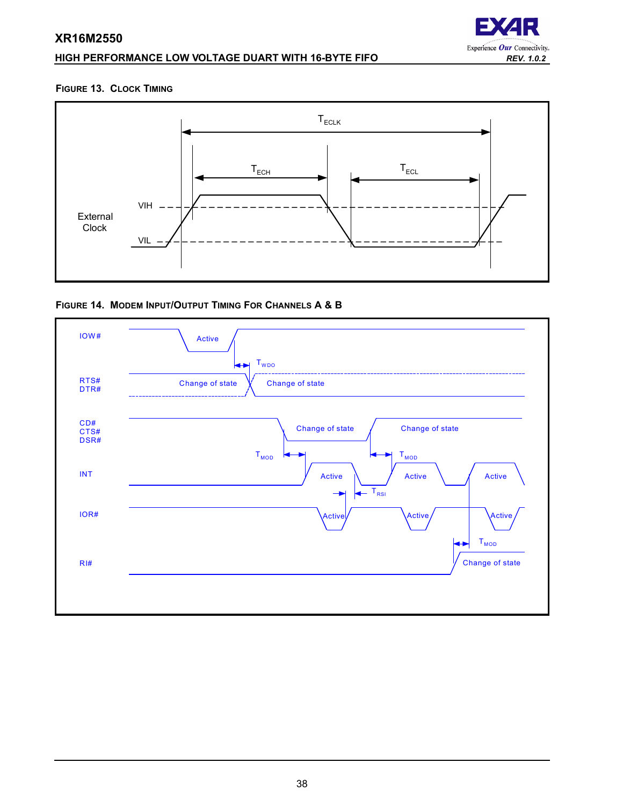# **HIGH PERFORMANCE LOW VOLTAGE DUART WITH 16-BYTE FIFO** *REV. 1.0.2*



#### <span id="page-37-0"></span>**FIGURE 13. CLOCK TIMING**



<span id="page-37-1"></span>

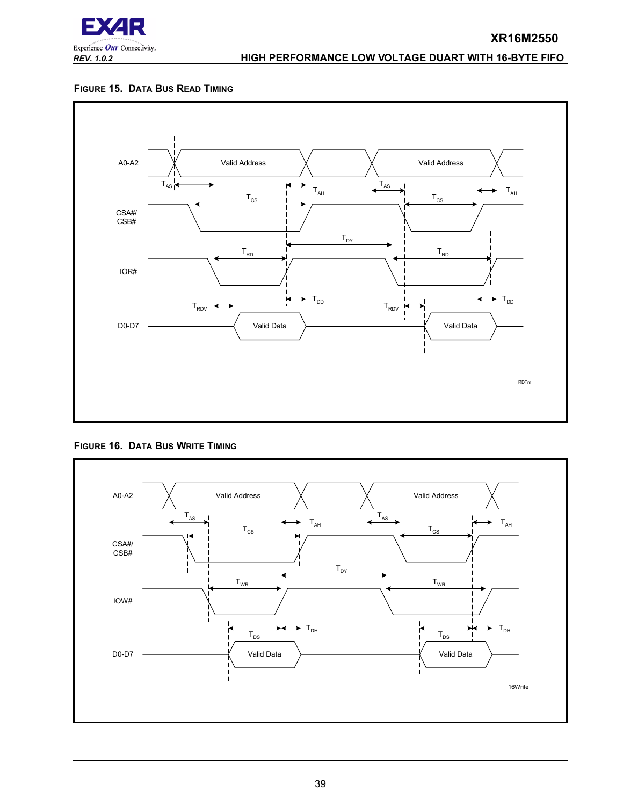

#### <span id="page-38-0"></span>**FIGURE 15. DATA BUS READ TIMING**



#### <span id="page-38-1"></span>**FIGURE 16. DATA BUS WRITE TIMING**

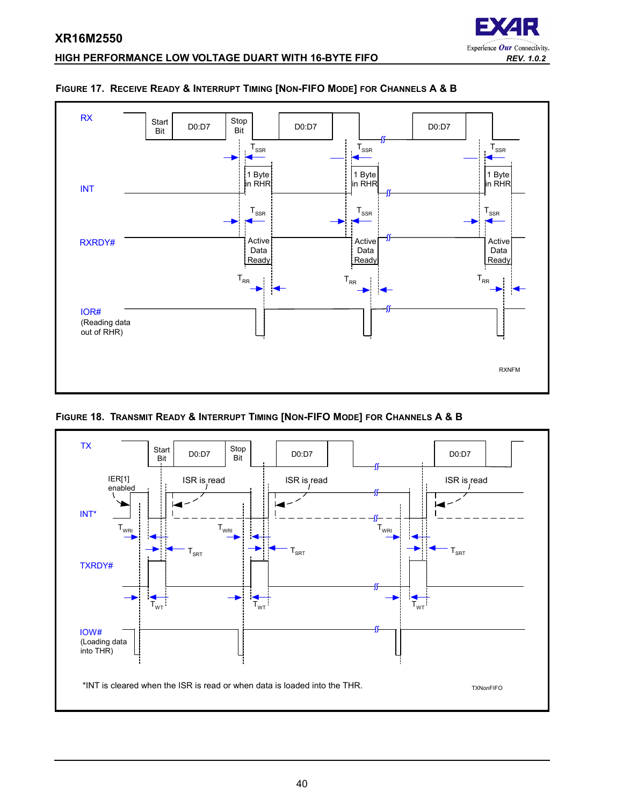

# **HIGH PERFORMANCE LOW VOLTAGE DUART WITH 16-BYTE FIFO** *REV. 1.0.2*



#### <span id="page-39-0"></span>**FIGURE 17. RECEIVE READY & INTERRUPT TIMING [NON-FIFO MODE] FOR CHANNELS A & B**

<span id="page-39-1"></span>**FIGURE 18. TRANSMIT READY & INTERRUPT TIMING [NON-FIFO MODE] FOR CHANNELS A & B**

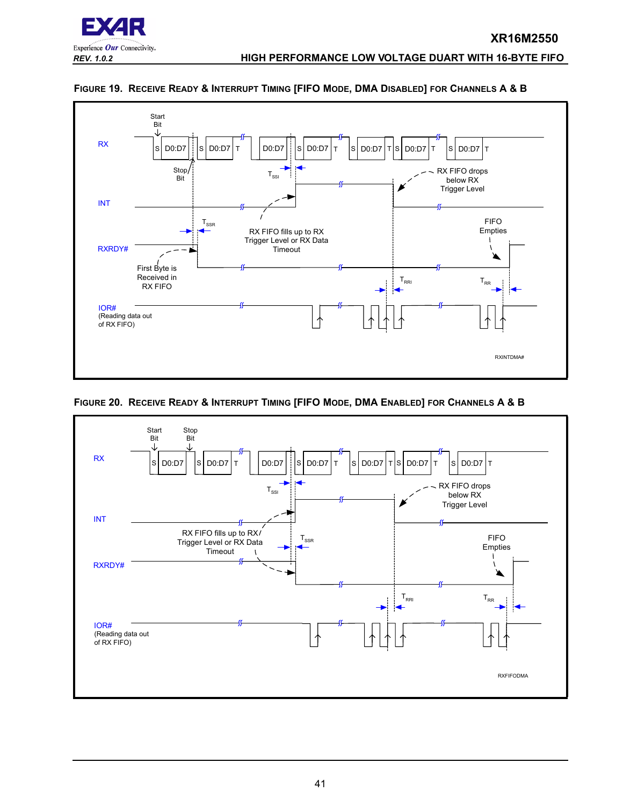



#### <span id="page-40-0"></span>**FIGURE 19. RECEIVE READY & INTERRUPT TIMING [FIFO MODE, DMA DISABLED] FOR CHANNELS A & B**

<span id="page-40-1"></span>

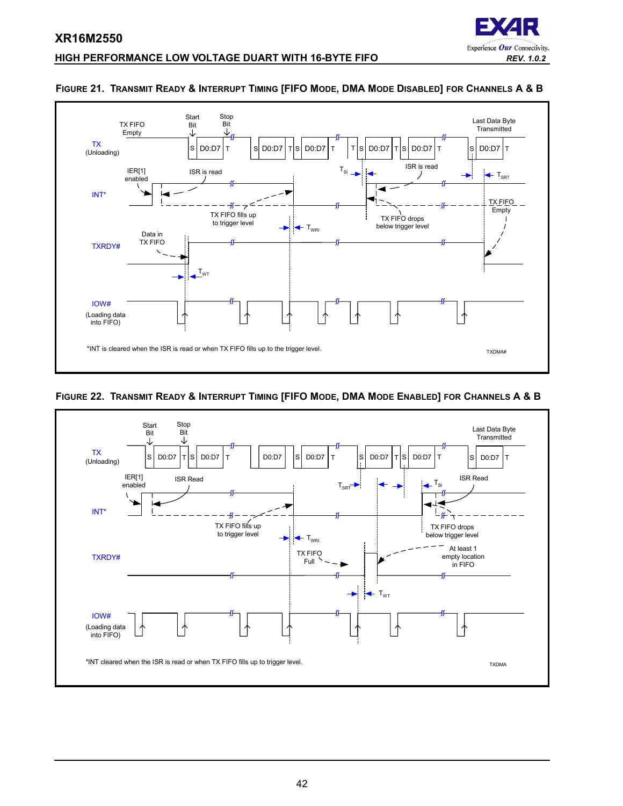

#### **HIGH PERFORMANCE LOW VOLTAGE DUART WITH 16-BYTE FIFO** *REV. 1.0.2*



#### <span id="page-41-1"></span>**FIGURE 21. TRANSMIT READY & INTERRUPT TIMING [FIFO MODE, DMA MODE DISABLED] FOR CHANNELS A & B**

#### <span id="page-41-0"></span>**FIGURE 22. TRANSMIT READY & INTERRUPT TIMING [FIFO MODE, DMA MODE ENABLED] FOR CHANNELS A & B**

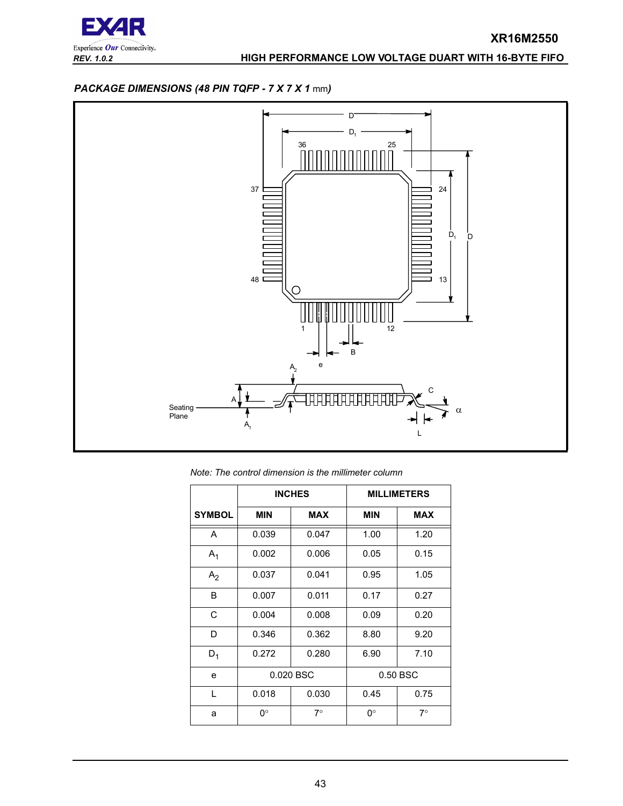

# <span id="page-42-0"></span>*PACKAGE DIMENSIONS (48 PIN TQFP - 7 X 7 X 1* mm*)*



*Note: The control dimension is the millimeter column*

|                |                | <b>INCHES</b> |            | <b>MILLIMETERS</b> |
|----------------|----------------|---------------|------------|--------------------|
| <b>SYMBOL</b>  | <b>MIN</b>     | <b>MAX</b>    | <b>MIN</b> | <b>MAX</b>         |
| A              | 0.039          | 0.047         | 1.00       | 1.20               |
| $A_1$          | 0.002          | 0.006         | 0.05       | 0.15               |
| A <sub>2</sub> | 0.037          | 0.041         | 0.95       | 1.05               |
| B              | 0.007          | 0.011         | 0.17       | 0.27               |
| C              | 0.004          | 0.008         | 0.09       | 0.20               |
| D              | 0.346          | 0.362         | 8.80       | 9.20               |
| $D_1$          | 0.272<br>0.280 |               | 6.90       | 7.10               |
| e              |                | 0.020 BSC     |            | 0.50 BSC           |
| L              | 0.018          | 0.030         | 0.45       | 0.75               |
| a              | ∩°             | $7^\circ$     | 0°         | $7^\circ$          |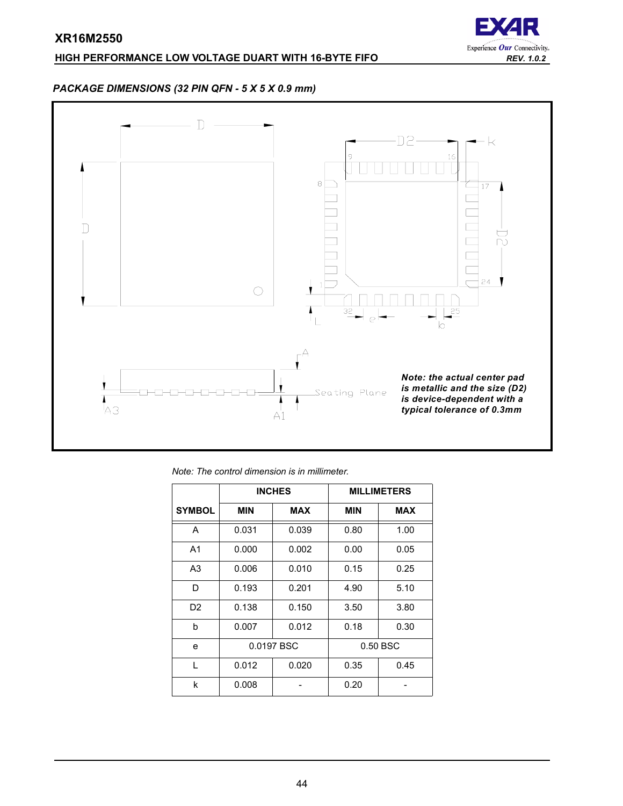# **HIGH PERFORMANCE LOW VOLTAGE DUART WITH 16-BYTE FIFO** *REV. 1.0.2*



# <span id="page-43-0"></span>*PACKAGE DIMENSIONS (32 PIN QFN - 5 X 5 X 0.9 mm)*



| Note: The control dimension is in millimeter. |
|-----------------------------------------------|
|-----------------------------------------------|

|                |                | <b>INCHES</b> |            | <b>MILLIMETERS</b> |
|----------------|----------------|---------------|------------|--------------------|
| <b>SYMBOL</b>  | <b>MIN</b>     | <b>MAX</b>    | <b>MIN</b> | <b>MAX</b>         |
| A              | 0.031          | 0.039         | 0.80       | 1.00               |
| A <sub>1</sub> | 0.000          | 0.002         | 0.00       | 0.05               |
| A <sub>3</sub> | 0.010<br>0.006 |               | 0.15       | 0.25               |
| D              | 0.193          | 0.201         | 4.90       | 5.10               |
| D <sub>2</sub> | 0.138          | 0.150         | 3.50       | 3.80               |
| b              | 0.007          | 0.012         | 0.18       | 0.30               |
| e              |                | 0.0197 BSC    |            | 0.50 BSC           |
| L              | 0.012          | 0.020         | 0.35       | 0.45               |
| k              | 0.008          |               | 0.20       |                    |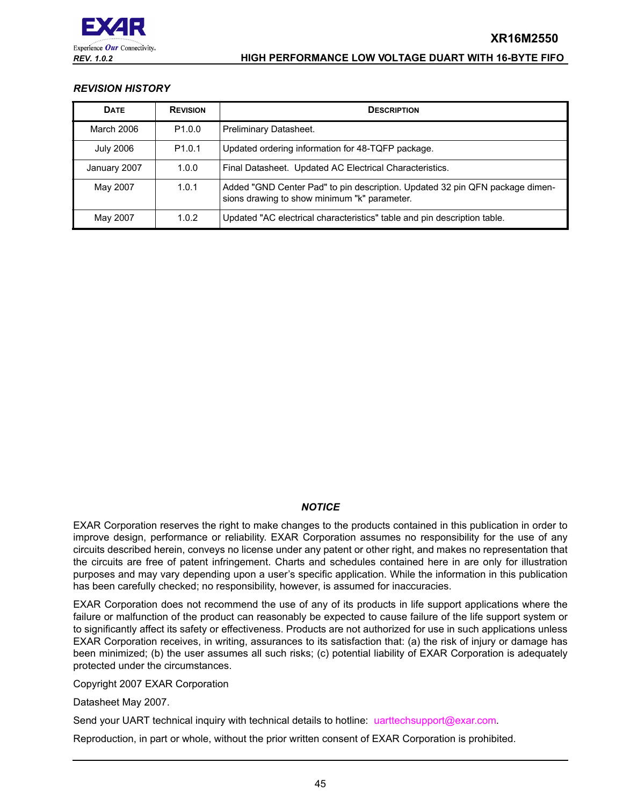

# <span id="page-44-0"></span>*REVISION HISTORY*

| <b>DATE</b>      | <b>REVISION</b>    | <b>DESCRIPTION</b>                                                                                                           |
|------------------|--------------------|------------------------------------------------------------------------------------------------------------------------------|
| March 2006       | P <sub>1.0.0</sub> | Preliminary Datasheet.                                                                                                       |
| <b>July 2006</b> | P <sub>1.0.1</sub> | Updated ordering information for 48-TQFP package.                                                                            |
| January 2007     | 1.0.0              | Final Datasheet. Updated AC Electrical Characteristics.                                                                      |
| May 2007         | 1.0.1              | Added "GND Center Pad" to pin description. Updated 32 pin QFN package dimen-<br>sions drawing to show minimum "k" parameter. |
| May 2007         | 1.0.2              | Updated "AC electrical characteristics" table and pin description table.                                                     |

# *NOTICE*

EXAR Corporation reserves the right to make changes to the products contained in this publication in order to improve design, performance or reliability. EXAR Corporation assumes no responsibility for the use of any circuits described herein, conveys no license under any patent or other right, and makes no representation that the circuits are free of patent infringement. Charts and schedules contained here in are only for illustration purposes and may vary depending upon a user's specific application. While the information in this publication has been carefully checked; no responsibility, however, is assumed for inaccuracies.

EXAR Corporation does not recommend the use of any of its products in life support applications where the failure or malfunction of the product can reasonably be expected to cause failure of the life support system or to significantly affect its safety or effectiveness. Products are not authorized for use in such applications unless EXAR Corporation receives, in writing, assurances to its satisfaction that: (a) the risk of injury or damage has been minimized; (b) the user assumes all such risks; (c) potential liability of EXAR Corporation is adequately protected under the circumstances.

Copyright 2007 EXAR Corporation

Datasheet May 2007.

Send your UART technical inquiry with technical details to hotline: uarttechsupport@exar.com.

Reproduction, in part or whole, without the prior written consent of EXAR Corporation is prohibited.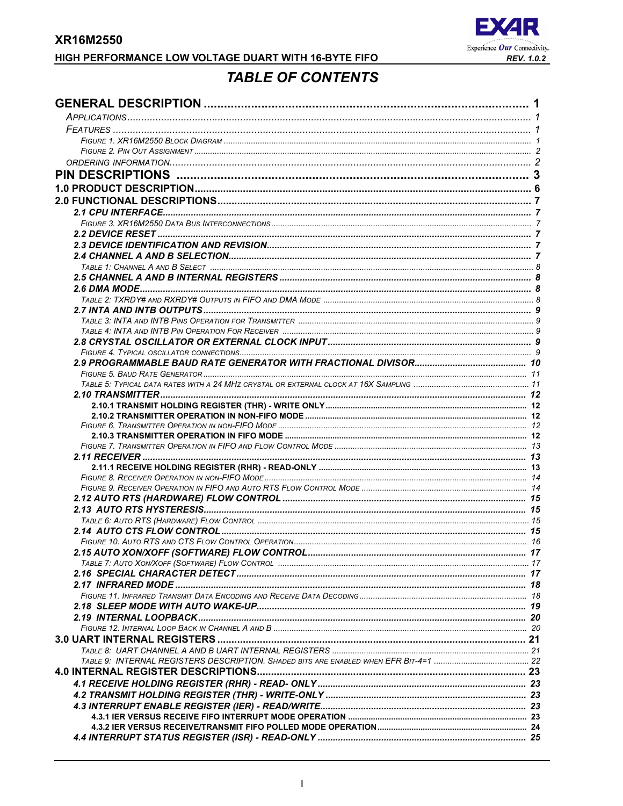

# **TABLE OF CONTENTS**

<span id="page-45-0"></span>